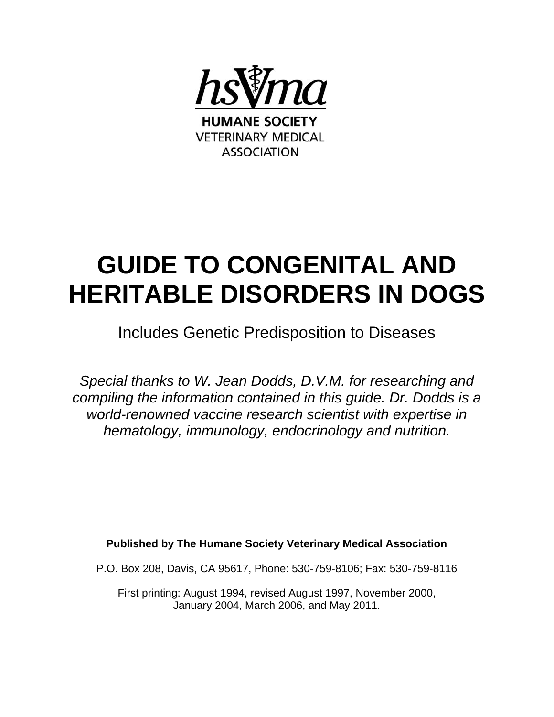

# **GUIDE TO CONGENITAL AND HERITABLE DISORDERS IN DOGS**

## Includes Genetic Predisposition to Diseases

*Special thanks to W. Jean Dodds, D.V.M. for researching and compiling the information contained in this guide. Dr. Dodds is a world-renowned vaccine research scientist with expertise in hematology, immunology, endocrinology and nutrition.* 

**Published by The Humane Society Veterinary Medical Association** 

P.O. Box 208, Davis, CA 95617, Phone: 530-759-8106; Fax: 530-759-8116

First printing: August 1994, revised August 1997, November 2000, January 2004, March 2006, and May 2011.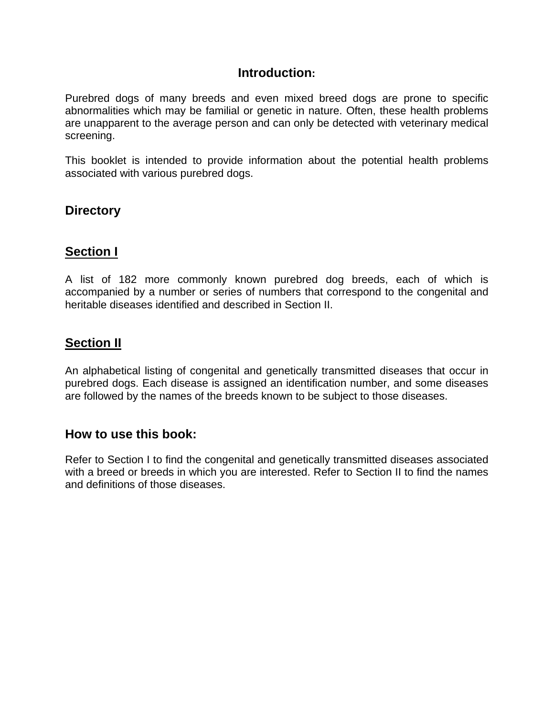## **Introduction:**

Purebred dogs of many breeds and even mixed breed dogs are prone to specific abnormalities which may be familial or genetic in nature. Often, these health problems are unapparent to the average person and can only be detected with veterinary medical screening.

This booklet is intended to provide information about the potential health problems associated with various purebred dogs.

## **Directory**

## **Section I**

A list of 182 more commonly known purebred dog breeds, each of which is accompanied by a number or series of numbers that correspond to the congenital and heritable diseases identified and described in Section II.

## **Section II**

An alphabetical listing of congenital and genetically transmitted diseases that occur in purebred dogs. Each disease is assigned an identification number, and some diseases are followed by the names of the breeds known to be subject to those diseases.

## **How to use this book:**

Refer to Section I to find the congenital and genetically transmitted diseases associated with a breed or breeds in which you are interested. Refer to Section II to find the names and definitions of those diseases.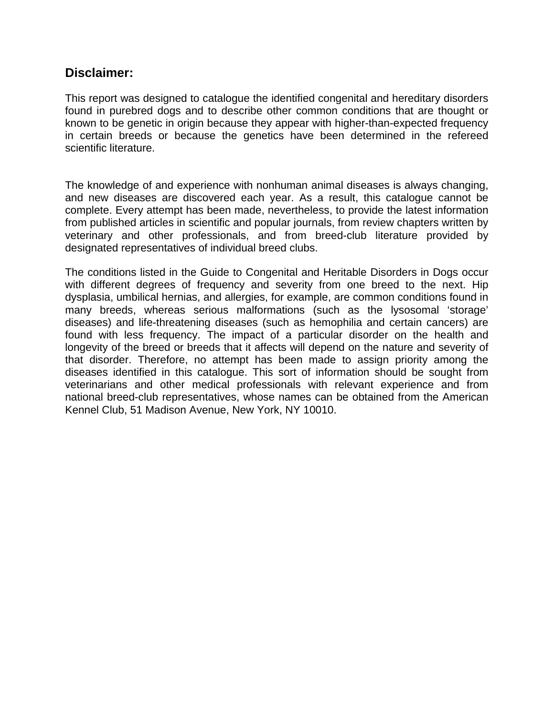## **Disclaimer:**

This report was designed to catalogue the identified congenital and hereditary disorders found in purebred dogs and to describe other common conditions that are thought or known to be genetic in origin because they appear with higher-than-expected frequency in certain breeds or because the genetics have been determined in the refereed scientific literature.

The knowledge of and experience with nonhuman animal diseases is always changing, and new diseases are discovered each year. As a result, this catalogue cannot be complete. Every attempt has been made, nevertheless, to provide the latest information from published articles in scientific and popular journals, from review chapters written by veterinary and other professionals, and from breed-club literature provided by designated representatives of individual breed clubs.

The conditions listed in the Guide to Congenital and Heritable Disorders in Dogs occur with different degrees of frequency and severity from one breed to the next. Hip dysplasia, umbilical hernias, and allergies, for example, are common conditions found in many breeds, whereas serious malformations (such as the lysosomal 'storage' diseases) and life-threatening diseases (such as hemophilia and certain cancers) are found with less frequency. The impact of a particular disorder on the health and longevity of the breed or breeds that it affects will depend on the nature and severity of that disorder. Therefore, no attempt has been made to assign priority among the diseases identified in this catalogue. This sort of information should be sought from veterinarians and other medical professionals with relevant experience and from national breed-club representatives, whose names can be obtained from the American Kennel Club, 51 Madison Avenue, New York, NY 10010.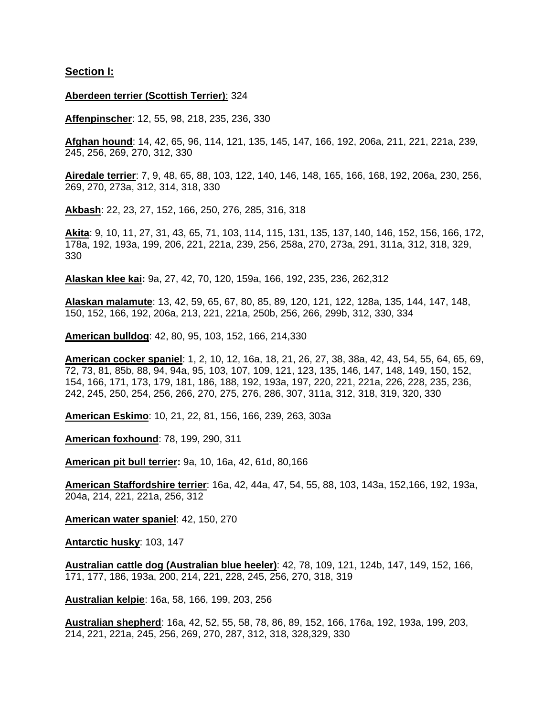#### **Section I:**

#### **Aberdeen terrier (Scottish Terrier)**: 324

**Affenpinscher**: 12, 55, 98, 218, 235, 236, 330

**Afghan hound**: 14, 42, 65, 96, 114, 121, 135, 145, 147, 166, 192, 206a, 211, 221, 221a, 239, 245, 256, 269, 270, 312, 330

**Airedale terrier**: 7, 9, 48, 65, 88, 103, 122, 140, 146, 148, 165, 166, 168, 192, 206a, 230, 256, 269, 270, 273a, 312, 314, 318, 330

**Akbash**: 22, 23, 27, 152, 166, 250, 276, 285, 316, 318

**Akita**: 9, 10, 11, 27, 31, 43, 65, 71, 103, 114, 115, 131, 135, 137, 140, 146, 152, 156, 166, 172, 178a, 192, 193a, 199, 206, 221, 221a, 239, 256, 258a, 270, 273a, 291, 311a, 312, 318, 329, 330

**Alaskan klee kai:** 9a, 27, 42, 70, 120, 159a, 166, 192, 235, 236, 262,312

**Alaskan malamute**: 13, 42, 59, 65, 67, 80, 85, 89, 120, 121, 122, 128a, 135, 144, 147, 148, 150, 152, 166, 192, 206a, 213, 221, 221a, 250b, 256, 266, 299b, 312, 330, 334

**American bulldog**: 42, 80, 95, 103, 152, 166, 214,330

**American cocker spaniel**: 1, 2, 10, 12, 16a, 18, 21, 26, 27, 38, 38a, 42, 43, 54, 55, 64, 65, 69, 72, 73, 81, 85b, 88, 94, 94a, 95, 103, 107, 109, 121, 123, 135, 146, 147, 148, 149, 150, 152, 154, 166, 171, 173, 179, 181, 186, 188, 192, 193a, 197, 220, 221, 221a, 226, 228, 235, 236, 242, 245, 250, 254, 256, 266, 270, 275, 276, 286, 307, 311a, 312, 318, 319, 320, 330

**American Eskimo**: 10, 21, 22, 81, 156, 166, 239, 263, 303a

**American foxhound**: 78, 199, 290, 311

**American pit bull terrier:** 9a, 10, 16a, 42, 61d, 80,166

**American Staffordshire terrier**: 16a, 42, 44a, 47, 54, 55, 88, 103, 143a, 152,166, 192, 193a, 204a, 214, 221, 221a, 256, 312

**American water spaniel**: 42, 150, 270

**Antarctic husky**: 103, 147

**Australian cattle dog (Australian blue heeler)**: 42, 78, 109, 121, 124b, 147, 149, 152, 166, 171, 177, 186, 193a, 200, 214, 221, 228, 245, 256, 270, 318, 319

**Australian kelpie**: 16a, 58, 166, 199, 203, 256

**Australian shepherd**: 16a, 42, 52, 55, 58, 78, 86, 89, 152, 166, 176a, 192, 193a, 199, 203, 214, 221, 221a, 245, 256, 269, 270, 287, 312, 318, 328,329, 330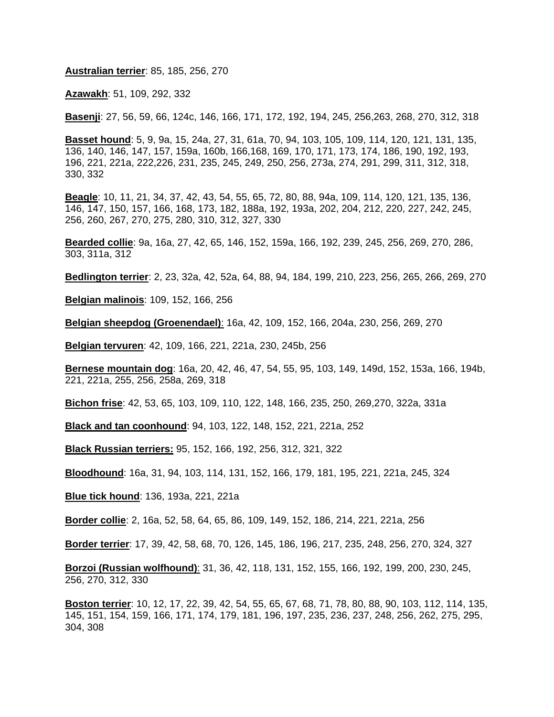**Australian terrier**: 85, 185, 256, 270

**Azawakh**: 51, 109, 292, 332

**Basenji**: 27, 56, 59, 66, 124c, 146, 166, 171, 172, 192, 194, 245, 256,263, 268, 270, 312, 318

**Basset hound**: 5, 9, 9a, 15, 24a, 27, 31, 61a, 70, 94, 103, 105, 109, 114, 120, 121, 131, 135, 136, 140, 146, 147, 157, 159a, 160b, 166,168, 169, 170, 171, 173, 174, 186, 190, 192, 193, 196, 221, 221a, 222,226, 231, 235, 245, 249, 250, 256, 273a, 274, 291, 299, 311, 312, 318, 330, 332

**Beagle**: 10, 11, 21, 34, 37, 42, 43, 54, 55, 65, 72, 80, 88, 94a, 109, 114, 120, 121, 135, 136, 146, 147, 150, 157, 166, 168, 173, 182, 188a, 192, 193a, 202, 204, 212, 220, 227, 242, 245, 256, 260, 267, 270, 275, 280, 310, 312, 327, 330

**Bearded collie**: 9a, 16a, 27, 42, 65, 146, 152, 159a, 166, 192, 239, 245, 256, 269, 270, 286, 303, 311a, 312

**Bedlington terrier**: 2, 23, 32a, 42, 52a, 64, 88, 94, 184, 199, 210, 223, 256, 265, 266, 269, 270

**Belgian malinois**: 109, 152, 166, 256

**Belgian sheepdog (Groenendael)**: 16a, 42, 109, 152, 166, 204a, 230, 256, 269, 270

**Belgian tervuren**: 42, 109, 166, 221, 221a, 230, 245b, 256

**Bernese mountain dog**: 16a, 20, 42, 46, 47, 54, 55, 95, 103, 149, 149d, 152, 153a, 166, 194b, 221, 221a, 255, 256, 258a, 269, 318

**Bichon frise**: 42, 53, 65, 103, 109, 110, 122, 148, 166, 235, 250, 269,270, 322a, 331a

**Black and tan coonhound**: 94, 103, 122, 148, 152, 221, 221a, 252

**Black Russian terriers:** 95, 152, 166, 192, 256, 312, 321, 322

**Bloodhound**: 16a, 31, 94, 103, 114, 131, 152, 166, 179, 181, 195, 221, 221a, 245, 324

**Blue tick hound**: 136, 193a, 221, 221a

**Border collie**: 2, 16a, 52, 58, 64, 65, 86, 109, 149, 152, 186, 214, 221, 221a, 256

**Border terrier**: 17, 39, 42, 58, 68, 70, 126, 145, 186, 196, 217, 235, 248, 256, 270, 324, 327

**Borzoi (Russian wolfhound)**: 31, 36, 42, 118, 131, 152, 155, 166, 192, 199, 200, 230, 245, 256, 270, 312, 330

**Boston terrier**: 10, 12, 17, 22, 39, 42, 54, 55, 65, 67, 68, 71, 78, 80, 88, 90, 103, 112, 114, 135, 145, 151, 154, 159, 166, 171, 174, 179, 181, 196, 197, 235, 236, 237, 248, 256, 262, 275, 295, 304, 308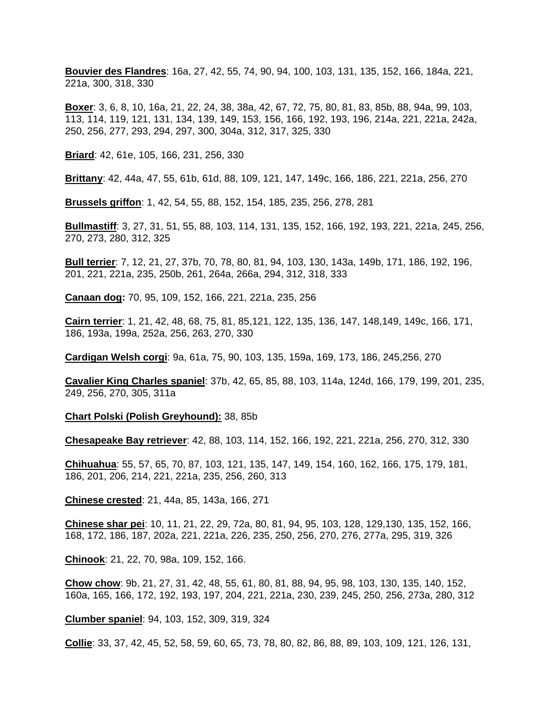**Bouvier des Flandres**: 16a, 27, 42, 55, 74, 90, 94, 100, 103, 131, 135, 152, 166, 184a, 221, 221a, 300, 318, 330

**Boxer**: 3, 6, 8, 10, 16a, 21, 22, 24, 38, 38a, 42, 67, 72, 75, 80, 81, 83, 85b, 88, 94a, 99, 103, 113, 114, 119, 121, 131, 134, 139, 149, 153, 156, 166, 192, 193, 196, 214a, 221, 221a, 242a, 250, 256, 277, 293, 294, 297, 300, 304a, 312, 317, 325, 330

**Briard**: 42, 61e, 105, 166, 231, 256, 330

**Brittany**: 42, 44a, 47, 55, 61b, 61d, 88, 109, 121, 147, 149c, 166, 186, 221, 221a, 256, 270

**Brussels griffon**: 1, 42, 54, 55, 88, 152, 154, 185, 235, 256, 278, 281

**Bullmastiff**: 3, 27, 31, 51, 55, 88, 103, 114, 131, 135, 152, 166, 192, 193, 221, 221a, 245, 256, 270, 273, 280, 312, 325

**Bull terrier**: 7, 12, 21, 27, 37b, 70, 78, 80, 81, 94, 103, 130, 143a, 149b, 171, 186, 192, 196, 201, 221, 221a, 235, 250b, 261, 264a, 266a, 294, 312, 318, 333

**Canaan dog:** 70, 95, 109, 152, 166, 221, 221a, 235, 256

**Cairn terrier**: 1, 21, 42, 48, 68, 75, 81, 85,121, 122, 135, 136, 147, 148,149, 149c, 166, 171, 186, 193a, 199a, 252a, 256, 263, 270, 330

**Cardigan Welsh corgi**: 9a, 61a, 75, 90, 103, 135, 159a, 169, 173, 186, 245,256, 270

**Cavalier King Charles spaniel**: 37b, 42, 65, 85, 88, 103, 114a, 124d, 166, 179, 199, 201, 235, 249, 256, 270, 305, 311a

**Chart Polski (Polish Greyhound):** 38, 85b

**Chesapeake Bay retriever**: 42, 88, 103, 114, 152, 166, 192, 221, 221a, 256, 270, 312, 330

**Chihuahua**: 55, 57, 65, 70, 87, 103, 121, 135, 147, 149, 154, 160, 162, 166, 175, 179, 181, 186, 201, 206, 214, 221, 221a, 235, 256, 260, 313

**Chinese crested**: 21, 44a, 85, 143a, 166, 271

**Chinese shar pei**: 10, 11, 21, 22, 29, 72a, 80, 81, 94, 95, 103, 128, 129,130, 135, 152, 166, 168, 172, 186, 187, 202a, 221, 221a, 226, 235, 250, 256, 270, 276, 277a, 295, 319, 326

**Chinook**: 21, 22, 70, 98a, 109, 152, 166.

**Chow chow**: 9b, 21, 27, 31, 42, 48, 55, 61, 80, 81, 88, 94, 95, 98, 103, 130, 135, 140, 152, 160a, 165, 166, 172, 192, 193, 197, 204, 221, 221a, 230, 239, 245, 250, 256, 273a, 280, 312

**Clumber spaniel**: 94, 103, 152, 309, 319, 324

**Collie**: 33, 37, 42, 45, 52, 58, 59, 60, 65, 73, 78, 80, 82, 86, 88, 89, 103, 109, 121, 126, 131,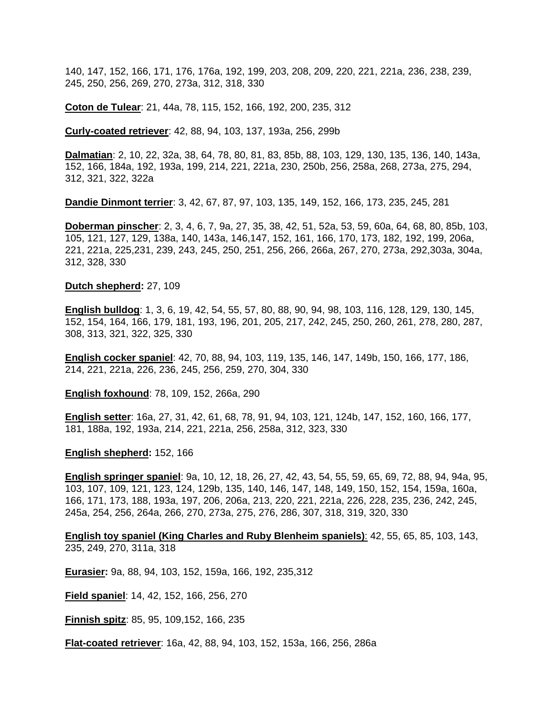140, 147, 152, 166, 171, 176, 176a, 192, 199, 203, 208, 209, 220, 221, 221a, 236, 238, 239, 245, 250, 256, 269, 270, 273a, 312, 318, 330

**Coton de Tulear**: 21, 44a, 78, 115, 152, 166, 192, 200, 235, 312

**Curly-coated retriever**: 42, 88, 94, 103, 137, 193a, 256, 299b

**Dalmatian**: 2, 10, 22, 32a, 38, 64, 78, 80, 81, 83, 85b, 88, 103, 129, 130, 135, 136, 140, 143a, 152, 166, 184a, 192, 193a, 199, 214, 221, 221a, 230, 250b, 256, 258a, 268, 273a, 275, 294, 312, 321, 322, 322a

**Dandie Dinmont terrier**: 3, 42, 67, 87, 97, 103, 135, 149, 152, 166, 173, 235, 245, 281

**Doberman pinscher**: 2, 3, 4, 6, 7, 9a, 27, 35, 38, 42, 51, 52a, 53, 59, 60a, 64, 68, 80, 85b, 103, 105, 121, 127, 129, 138a, 140, 143a, 146,147, 152, 161, 166, 170, 173, 182, 192, 199, 206a, 221, 221a, 225,231, 239, 243, 245, 250, 251, 256, 266, 266a, 267, 270, 273a, 292,303a, 304a, 312, 328, 330

#### **Dutch shepherd:** 27, 109

**English bulldog**: 1, 3, 6, 19, 42, 54, 55, 57, 80, 88, 90, 94, 98, 103, 116, 128, 129, 130, 145, 152, 154, 164, 166, 179, 181, 193, 196, 201, 205, 217, 242, 245, 250, 260, 261, 278, 280, 287, 308, 313, 321, 322, 325, 330

**English cocker spaniel**: 42, 70, 88, 94, 103, 119, 135, 146, 147, 149b, 150, 166, 177, 186, 214, 221, 221a, 226, 236, 245, 256, 259, 270, 304, 330

**English foxhound**: 78, 109, 152, 266a, 290

**English setter**: 16a, 27, 31, 42, 61, 68, 78, 91, 94, 103, 121, 124b, 147, 152, 160, 166, 177, 181, 188a, 192, 193a, 214, 221, 221a, 256, 258a, 312, 323, 330

**English shepherd:** 152, 166

**English springer spaniel**: 9a, 10, 12, 18, 26, 27, 42, 43, 54, 55, 59, 65, 69, 72, 88, 94, 94a, 95, 103, 107, 109, 121, 123, 124, 129b, 135, 140, 146, 147, 148, 149, 150, 152, 154, 159a, 160a, 166, 171, 173, 188, 193a, 197, 206, 206a, 213, 220, 221, 221a, 226, 228, 235, 236, 242, 245, 245a, 254, 256, 264a, 266, 270, 273a, 275, 276, 286, 307, 318, 319, 320, 330

**English toy spaniel (King Charles and Ruby Blenheim spaniels)**: 42, 55, 65, 85, 103, 143, 235, 249, 270, 311a, 318

**Eurasier:** 9a, 88, 94, 103, 152, 159a, 166, 192, 235,312

**Field spaniel**: 14, 42, 152, 166, 256, 270

**Finnish spitz**: 85, 95, 109,152, 166, 235

**Flat-coated retriever**: 16a, 42, 88, 94, 103, 152, 153a, 166, 256, 286a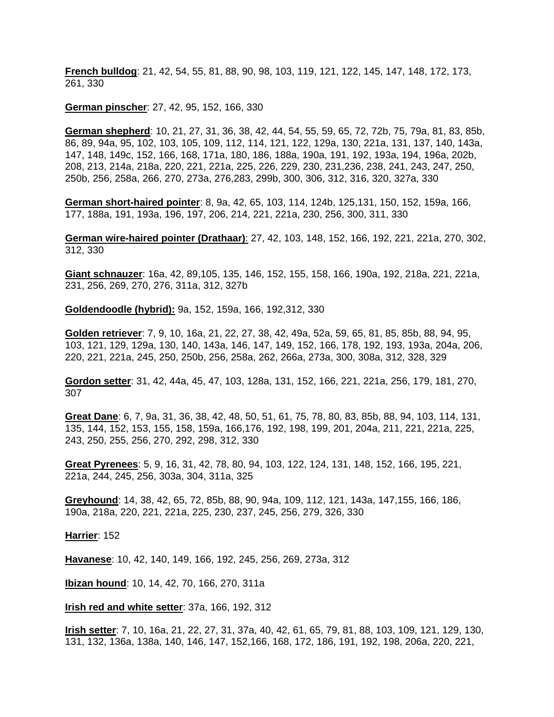**French bulldog**: 21, 42, 54, 55, 81, 88, 90, 98, 103, 119, 121, 122, 145, 147, 148, 172, 173, 261, 330

**German pinscher**: 27, 42, 95, 152, 166, 330

**German shepherd**: 10, 21, 27, 31, 36, 38, 42, 44, 54, 55, 59, 65, 72, 72b, 75, 79a, 81, 83, 85b, 86, 89, 94a, 95, 102, 103, 105, 109, 112, 114, 121, 122, 129a, 130, 221a, 131, 137, 140, 143a, 147, 148, 149c, 152, 166, 168, 171a, 180, 186, 188a, 190a, 191, 192, 193a, 194, 196a, 202b, 208, 213, 214a, 218a, 220, 221, 221a, 225, 226, 229, 230, 231,236, 238, 241, 243, 247, 250, 250b, 256, 258a, 266, 270, 273a, 276,283, 299b, 300, 306, 312, 316, 320, 327a, 330

**German short-haired pointer**: 8, 9a, 42, 65, 103, 114, 124b, 125,131, 150, 152, 159a, 166, 177, 188a, 191, 193a, 196, 197, 206, 214, 221, 221a, 230, 256, 300, 311, 330

**German wire-haired pointer (Drathaar)**: 27, 42, 103, 148, 152, 166, 192, 221, 221a, 270, 302, 312, 330

**Giant schnauzer**: 16a, 42, 89,105, 135, 146, 152, 155, 158, 166, 190a, 192, 218a, 221, 221a, 231, 256, 269, 270, 276, 311a, 312, 327b

**Goldendoodle (hybrid):** 9a, 152, 159a, 166, 192,312, 330

**Golden retriever**: 7, 9, 10, 16a, 21, 22, 27, 38, 42, 49a, 52a, 59, 65, 81, 85, 85b, 88, 94, 95, 103, 121, 129, 129a, 130, 140, 143a, 146, 147, 149, 152, 166, 178, 192, 193, 193a, 204a, 206, 220, 221, 221a, 245, 250, 250b, 256, 258a, 262, 266a, 273a, 300, 308a, 312, 328, 329

**Gordon setter**: 31, 42, 44a, 45, 47, 103, 128a, 131, 152, 166, 221, 221a, 256, 179, 181, 270, 307

**Great Dane**: 6, 7, 9a, 31, 36, 38, 42, 48, 50, 51, 61, 75, 78, 80, 83, 85b, 88, 94, 103, 114, 131, 135, 144, 152, 153, 155, 158, 159a, 166,176, 192, 198, 199, 201, 204a, 211, 221, 221a, 225, 243, 250, 255, 256, 270, 292, 298, 312, 330

**Great Pyrenees**: 5, 9, 16, 31, 42, 78, 80, 94, 103, 122, 124, 131, 148, 152, 166, 195, 221, 221a, 244, 245, 256, 303a, 304, 311a, 325

**Greyhound**: 14, 38, 42, 65, 72, 85b, 88, 90, 94a, 109, 112, 121, 143a, 147,155, 166, 186, 190a, 218a, 220, 221, 221a, 225, 230, 237, 245, 256, 279, 326, 330

**Harrier**: 152

**Havanese**: 10, 42, 140, 149, 166, 192, 245, 256, 269, 273a, 312

**Ibizan hound**: 10, 14, 42, 70, 166, 270, 311a

**Irish red and white setter**: 37a, 166, 192, 312

**Irish setter**: 7, 10, 16a, 21, 22, 27, 31, 37a, 40, 42, 61, 65, 79, 81, 88, 103, 109, 121, 129, 130, 131, 132, 136a, 138a, 140, 146, 147, 152,166, 168, 172, 186, 191, 192, 198, 206a, 220, 221,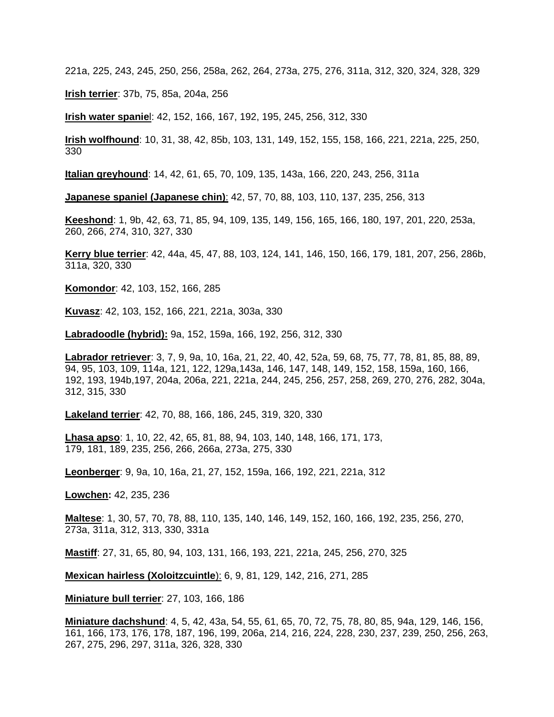221a, 225, 243, 245, 250, 256, 258a, 262, 264, 273a, 275, 276, 311a, 312, 320, 324, 328, 329

**Irish terrier**: 37b, 75, 85a, 204a, 256

**Irish water spanie**l: 42, 152, 166, 167, 192, 195, 245, 256, 312, 330

**Irish wolfhound**: 10, 31, 38, 42, 85b, 103, 131, 149, 152, 155, 158, 166, 221, 221a, 225, 250, 330

**Italian greyhound**: 14, 42, 61, 65, 70, 109, 135, 143a, 166, 220, 243, 256, 311a

**Japanese spaniel (Japanese chin)**: 42, 57, 70, 88, 103, 110, 137, 235, 256, 313

**Keeshond**: 1, 9b, 42, 63, 71, 85, 94, 109, 135, 149, 156, 165, 166, 180, 197, 201, 220, 253a, 260, 266, 274, 310, 327, 330

**Kerry blue terrier**: 42, 44a, 45, 47, 88, 103, 124, 141, 146, 150, 166, 179, 181, 207, 256, 286b, 311a, 320, 330

**Komondor**: 42, 103, 152, 166, 285

**Kuvasz**: 42, 103, 152, 166, 221, 221a, 303a, 330

**Labradoodle (hybrid):** 9a, 152, 159a, 166, 192, 256, 312, 330

**Labrador retriever**: 3, 7, 9, 9a, 10, 16a, 21, 22, 40, 42, 52a, 59, 68, 75, 77, 78, 81, 85, 88, 89, 94, 95, 103, 109, 114a, 121, 122, 129a,143a, 146, 147, 148, 149, 152, 158, 159a, 160, 166, 192, 193, 194b,197, 204a, 206a, 221, 221a, 244, 245, 256, 257, 258, 269, 270, 276, 282, 304a, 312, 315, 330

**Lakeland terrier**: 42, 70, 88, 166, 186, 245, 319, 320, 330

**Lhasa apso**: 1, 10, 22, 42, 65, 81, 88, 94, 103, 140, 148, 166, 171, 173, 179, 181, 189, 235, 256, 266, 266a, 273a, 275, 330

**Leonberger**: 9, 9a, 10, 16a, 21, 27, 152, 159a, 166, 192, 221, 221a, 312

**Lowchen:** 42, 235, 236

**Maltese**: 1, 30, 57, 70, 78, 88, 110, 135, 140, 146, 149, 152, 160, 166, 192, 235, 256, 270, 273a, 311a, 312, 313, 330, 331a

**Mastiff**: 27, 31, 65, 80, 94, 103, 131, 166, 193, 221, 221a, 245, 256, 270, 325

**Mexican hairless (Xoloitzcuintle**): 6, 9, 81, 129, 142, 216, 271, 285

**Miniature bull terrier**: 27, 103, 166, 186

**Miniature dachshund**: 4, 5, 42, 43a, 54, 55, 61, 65, 70, 72, 75, 78, 80, 85, 94a, 129, 146, 156, 161, 166, 173, 176, 178, 187, 196, 199, 206a, 214, 216, 224, 228, 230, 237, 239, 250, 256, 263, 267, 275, 296, 297, 311a, 326, 328, 330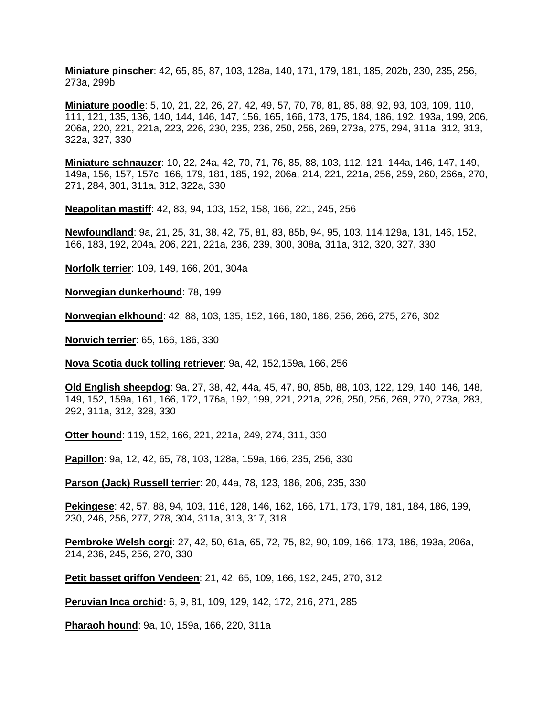**Miniature pinscher**: 42, 65, 85, 87, 103, 128a, 140, 171, 179, 181, 185, 202b, 230, 235, 256, 273a, 299b

**Miniature poodle**: 5, 10, 21, 22, 26, 27, 42, 49, 57, 70, 78, 81, 85, 88, 92, 93, 103, 109, 110, 111, 121, 135, 136, 140, 144, 146, 147, 156, 165, 166, 173, 175, 184, 186, 192, 193a, 199, 206, 206a, 220, 221, 221a, 223, 226, 230, 235, 236, 250, 256, 269, 273a, 275, 294, 311a, 312, 313, 322a, 327, 330

**Miniature schnauzer**: 10, 22, 24a, 42, 70, 71, 76, 85, 88, 103, 112, 121, 144a, 146, 147, 149, 149a, 156, 157, 157c, 166, 179, 181, 185, 192, 206a, 214, 221, 221a, 256, 259, 260, 266a, 270, 271, 284, 301, 311a, 312, 322a, 330

**Neapolitan mastiff**: 42, 83, 94, 103, 152, 158, 166, 221, 245, 256

**Newfoundland**: 9a, 21, 25, 31, 38, 42, 75, 81, 83, 85b, 94, 95, 103, 114,129a, 131, 146, 152, 166, 183, 192, 204a, 206, 221, 221a, 236, 239, 300, 308a, 311a, 312, 320, 327, 330

**Norfolk terrier**: 109, 149, 166, 201, 304a

**Norwegian dunkerhound**: 78, 199

**Norwegian elkhound**: 42, 88, 103, 135, 152, 166, 180, 186, 256, 266, 275, 276, 302

**Norwich terrier**: 65, 166, 186, 330

**Nova Scotia duck tolling retriever**: 9a, 42, 152,159a, 166, 256

**Old English sheepdog**: 9a, 27, 38, 42, 44a, 45, 47, 80, 85b, 88, 103, 122, 129, 140, 146, 148, 149, 152, 159a, 161, 166, 172, 176a, 192, 199, 221, 221a, 226, 250, 256, 269, 270, 273a, 283, 292, 311a, 312, 328, 330

**Otter hound**: 119, 152, 166, 221, 221a, 249, 274, 311, 330

**Papillon**: 9a, 12, 42, 65, 78, 103, 128a, 159a, 166, 235, 256, 330

**Parson (Jack) Russell terrier**: 20, 44a, 78, 123, 186, 206, 235, 330

**Pekingese**: 42, 57, 88, 94, 103, 116, 128, 146, 162, 166, 171, 173, 179, 181, 184, 186, 199, 230, 246, 256, 277, 278, 304, 311a, 313, 317, 318

**Pembroke Welsh corgi**: 27, 42, 50, 61a, 65, 72, 75, 82, 90, 109, 166, 173, 186, 193a, 206a, 214, 236, 245, 256, 270, 330

**Petit basset griffon Vendeen**: 21, 42, 65, 109, 166, 192, 245, 270, 312

**Peruvian Inca orchid:** 6, 9, 81, 109, 129, 142, 172, 216, 271, 285

**Pharaoh hound**: 9a, 10, 159a, 166, 220, 311a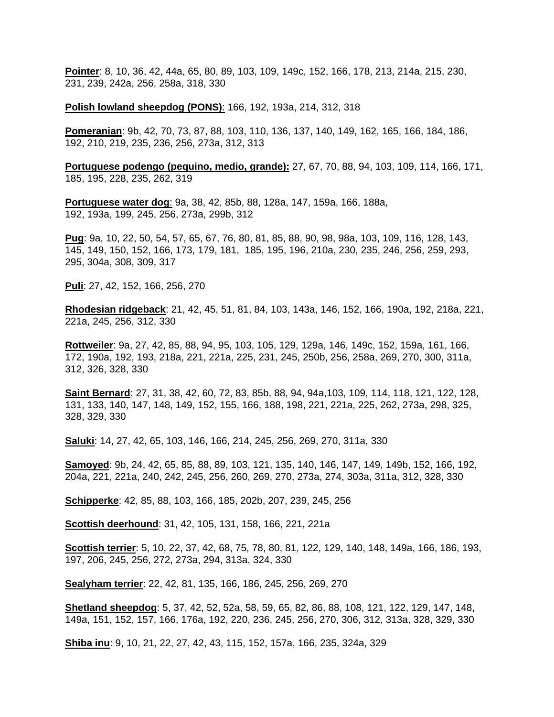**Pointer**: 8, 10, 36, 42, 44a, 65, 80, 89, 103, 109, 149c, 152, 166, 178, 213, 214a, 215, 230, 231, 239, 242a, 256, 258a, 318, 330

**Polish lowland sheepdog (PONS)**: 166, 192, 193a, 214, 312, 318

**Pomeranian**: 9b, 42, 70, 73, 87, 88, 103, 110, 136, 137, 140, 149, 162, 165, 166, 184, 186, 192, 210, 219, 235, 236, 256, 273a, 312, 313

**Portuguese podengo (pequino, medio, grande):** 27, 67, 70, 88, 94, 103, 109, 114, 166, 171, 185, 195, 228, 235, 262, 319

**Portuguese water dog**: 9a, 38, 42, 85b, 88, 128a, 147, 159a, 166, 188a, 192, 193a, 199, 245, 256, 273a, 299b, 312

**Pug**: 9a, 10, 22, 50, 54, 57, 65, 67, 76, 80, 81, 85, 88, 90, 98, 98a, 103, 109, 116, 128, 143, 145, 149, 150, 152, 166, 173, 179, 181, 185, 195, 196, 210a, 230, 235, 246, 256, 259, 293, 295, 304a, 308, 309, 317

**Puli**: 27, 42, 152, 166, 256, 270

**Rhodesian ridgeback**: 21, 42, 45, 51, 81, 84, 103, 143a, 146, 152, 166, 190a, 192, 218a, 221, 221a, 245, 256, 312, 330

**Rottweiler**: 9a, 27, 42, 85, 88, 94, 95, 103, 105, 129, 129a, 146, 149c, 152, 159a, 161, 166, 172, 190a, 192, 193, 218a, 221, 221a, 225, 231, 245, 250b, 256, 258a, 269, 270, 300, 311a, 312, 326, 328, 330

**Saint Bernard**: 27, 31, 38, 42, 60, 72, 83, 85b, 88, 94, 94a,103, 109, 114, 118, 121, 122, 128, 131, 133, 140, 147, 148, 149, 152, 155, 166, 188, 198, 221, 221a, 225, 262, 273a, 298, 325, 328, 329, 330

**Saluki**: 14, 27, 42, 65, 103, 146, 166, 214, 245, 256, 269, 270, 311a, 330

**Samoyed**: 9b, 24, 42, 65, 85, 88, 89, 103, 121, 135, 140, 146, 147, 149, 149b, 152, 166, 192, 204a, 221, 221a, 240, 242, 245, 256, 260, 269, 270, 273a, 274, 303a, 311a, 312, 328, 330

**Schipperke**: 42, 85, 88, 103, 166, 185, 202b, 207, 239, 245, 256

**Scottish deerhound**: 31, 42, 105, 131, 158, 166, 221, 221a

**Scottish terrier**: 5, 10, 22, 37, 42, 68, 75, 78, 80, 81, 122, 129, 140, 148, 149a, 166, 186, 193, 197, 206, 245, 256, 272, 273a, 294, 313a, 324, 330

**Sealyham terrier**: 22, 42, 81, 135, 166, 186, 245, 256, 269, 270

**Shetland sheepdog**: 5, 37, 42, 52, 52a, 58, 59, 65, 82, 86, 88, 108, 121, 122, 129, 147, 148, 149a, 151, 152, 157, 166, 176a, 192, 220, 236, 245, 256, 270, 306, 312, 313a, 328, 329, 330

**Shiba inu**: 9, 10, 21, 22, 27, 42, 43, 115, 152, 157a, 166, 235, 324a, 329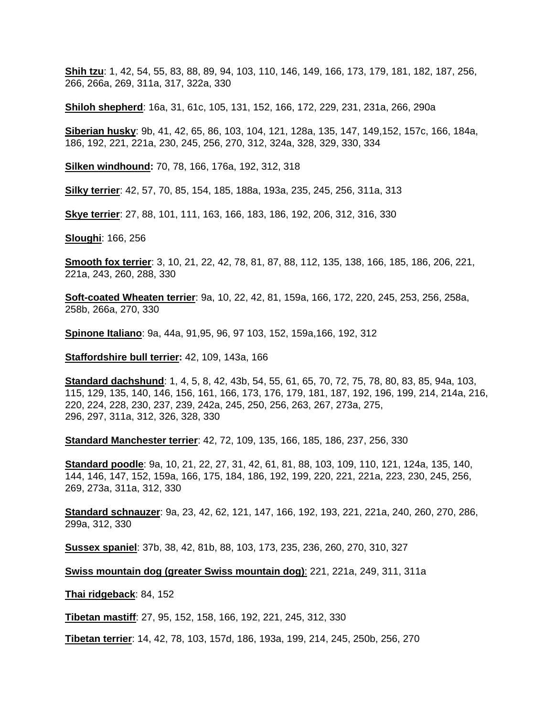**Shih tzu**: 1, 42, 54, 55, 83, 88, 89, 94, 103, 110, 146, 149, 166, 173, 179, 181, 182, 187, 256, 266, 266a, 269, 311a, 317, 322a, 330

**Shiloh shepherd**: 16a, 31, 61c, 105, 131, 152, 166, 172, 229, 231, 231a, 266, 290a

**Siberian husky**: 9b, 41, 42, 65, 86, 103, 104, 121, 128a, 135, 147, 149,152, 157c, 166, 184a, 186, 192, 221, 221a, 230, 245, 256, 270, 312, 324a, 328, 329, 330, 334

**Silken windhound:** 70, 78, 166, 176a, 192, 312, 318

**Silky terrier**: 42, 57, 70, 85, 154, 185, 188a, 193a, 235, 245, 256, 311a, 313

**Skye terrier**: 27, 88, 101, 111, 163, 166, 183, 186, 192, 206, 312, 316, 330

**Sloughi**: 166, 256

**Smooth fox terrier**: 3, 10, 21, 22, 42, 78, 81, 87, 88, 112, 135, 138, 166, 185, 186, 206, 221, 221a, 243, 260, 288, 330

**Soft-coated Wheaten terrier**: 9a, 10, 22, 42, 81, 159a, 166, 172, 220, 245, 253, 256, 258a, 258b, 266a, 270, 330

**Spinone Italiano**: 9a, 44a, 91,95, 96, 97 103, 152, 159a,166, 192, 312

**Staffordshire bull terrier:** 42, 109, 143a, 166

**Standard dachshund**: 1, 4, 5, 8, 42, 43b, 54, 55, 61, 65, 70, 72, 75, 78, 80, 83, 85, 94a, 103, 115, 129, 135, 140, 146, 156, 161, 166, 173, 176, 179, 181, 187, 192, 196, 199, 214, 214a, 216, 220, 224, 228, 230, 237, 239, 242a, 245, 250, 256, 263, 267, 273a, 275, 296, 297, 311a, 312, 326, 328, 330

**Standard Manchester terrier**: 42, 72, 109, 135, 166, 185, 186, 237, 256, 330

**Standard poodle**: 9a, 10, 21, 22, 27, 31, 42, 61, 81, 88, 103, 109, 110, 121, 124a, 135, 140, 144, 146, 147, 152, 159a, 166, 175, 184, 186, 192, 199, 220, 221, 221a, 223, 230, 245, 256, 269, 273a, 311a, 312, 330

**Standard schnauzer**: 9a, 23, 42, 62, 121, 147, 166, 192, 193, 221, 221a, 240, 260, 270, 286, 299a, 312, 330

**Sussex spaniel**: 37b, 38, 42, 81b, 88, 103, 173, 235, 236, 260, 270, 310, 327

**Swiss mountain dog (greater Swiss mountain dog)**: 221, 221a, 249, 311, 311a

**Thai ridgeback**: 84, 152

**Tibetan mastiff**: 27, 95, 152, 158, 166, 192, 221, 245, 312, 330

**Tibetan terrier**: 14, 42, 78, 103, 157d, 186, 193a, 199, 214, 245, 250b, 256, 270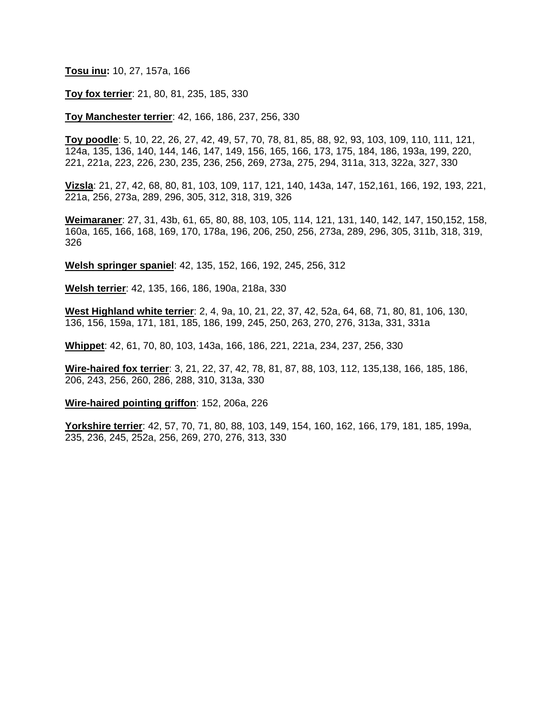#### **Tosu inu:** 10, 27, 157a, 166

#### **Toy fox terrier**: 21, 80, 81, 235, 185, 330

#### **Toy Manchester terrier**: 42, 166, 186, 237, 256, 330

**Toy poodle**: 5, 10, 22, 26, 27, 42, 49, 57, 70, 78, 81, 85, 88, 92, 93, 103, 109, 110, 111, 121, 124a, 135, 136, 140, 144, 146, 147, 149, 156, 165, 166, 173, 175, 184, 186, 193a, 199, 220, 221, 221a, 223, 226, 230, 235, 236, 256, 269, 273a, 275, 294, 311a, 313, 322a, 327, 330

**Vizsla**: 21, 27, 42, 68, 80, 81, 103, 109, 117, 121, 140, 143a, 147, 152,161, 166, 192, 193, 221, 221a, 256, 273a, 289, 296, 305, 312, 318, 319, 326

**Weimaraner**: 27, 31, 43b, 61, 65, 80, 88, 103, 105, 114, 121, 131, 140, 142, 147, 150,152, 158, 160a, 165, 166, 168, 169, 170, 178a, 196, 206, 250, 256, 273a, 289, 296, 305, 311b, 318, 319, 326

**Welsh springer spaniel**: 42, 135, 152, 166, 192, 245, 256, 312

**Welsh terrier**: 42, 135, 166, 186, 190a, 218a, 330

**West Highland white terrier**: 2, 4, 9a, 10, 21, 22, 37, 42, 52a, 64, 68, 71, 80, 81, 106, 130, 136, 156, 159a, 171, 181, 185, 186, 199, 245, 250, 263, 270, 276, 313a, 331, 331a

**Whippet**: 42, 61, 70, 80, 103, 143a, 166, 186, 221, 221a, 234, 237, 256, 330

**Wire-haired fox terrier**: 3, 21, 22, 37, 42, 78, 81, 87, 88, 103, 112, 135,138, 166, 185, 186, 206, 243, 256, 260, 286, 288, 310, 313a, 330

**Wire-haired pointing griffon**: 152, 206a, 226

**Yorkshire terrier**: 42, 57, 70, 71, 80, 88, 103, 149, 154, 160, 162, 166, 179, 181, 185, 199a, 235, 236, 245, 252a, 256, 269, 270, 276, 313, 330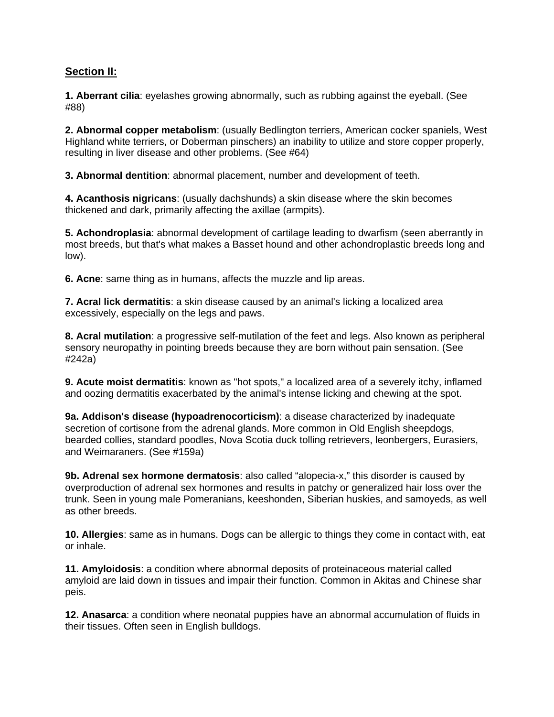### **Section II:**

**1. Aberrant cilia**: eyelashes growing abnormally, such as rubbing against the eyeball. (See #88)

**2. Abnormal copper metabolism**: (usually Bedlington terriers, American cocker spaniels, West Highland white terriers, or Doberman pinschers) an inability to utilize and store copper properly, resulting in liver disease and other problems. (See #64)

**3. Abnormal dentition**: abnormal placement, number and development of teeth.

**4. Acanthosis nigricans**: (usually dachshunds) a skin disease where the skin becomes thickened and dark, primarily affecting the axillae (armpits).

**5. Achondroplasia**: abnormal development of cartilage leading to dwarfism (seen aberrantly in most breeds, but that's what makes a Basset hound and other achondroplastic breeds long and low).

**6. Acne**: same thing as in humans, affects the muzzle and lip areas.

**7. Acral lick dermatitis**: a skin disease caused by an animal's licking a localized area excessively, especially on the legs and paws.

**8. Acral mutilation**: a progressive self-mutilation of the feet and legs. Also known as peripheral sensory neuropathy in pointing breeds because they are born without pain sensation. (See #242a)

**9. Acute moist dermatitis**: known as "hot spots," a localized area of a severely itchy, inflamed and oozing dermatitis exacerbated by the animal's intense licking and chewing at the spot.

**9a. Addison's disease (hypoadrenocorticism)**: a disease characterized by inadequate secretion of cortisone from the adrenal glands. More common in Old English sheepdogs, bearded collies, standard poodles, Nova Scotia duck tolling retrievers, leonbergers, Eurasiers, and Weimaraners. (See #159a)

**9b. Adrenal sex hormone dermatosis**: also called "alopecia-x," this disorder is caused by overproduction of adrenal sex hormones and results in patchy or generalized hair loss over the trunk. Seen in young male Pomeranians, keeshonden, Siberian huskies, and samoyeds, as well as other breeds.

**10. Allergies**: same as in humans. Dogs can be allergic to things they come in contact with, eat or inhale.

**11. Amyloidosis**: a condition where abnormal deposits of proteinaceous material called amyloid are laid down in tissues and impair their function. Common in Akitas and Chinese shar peis.

**12. Anasarca**: a condition where neonatal puppies have an abnormal accumulation of fluids in their tissues. Often seen in English bulldogs.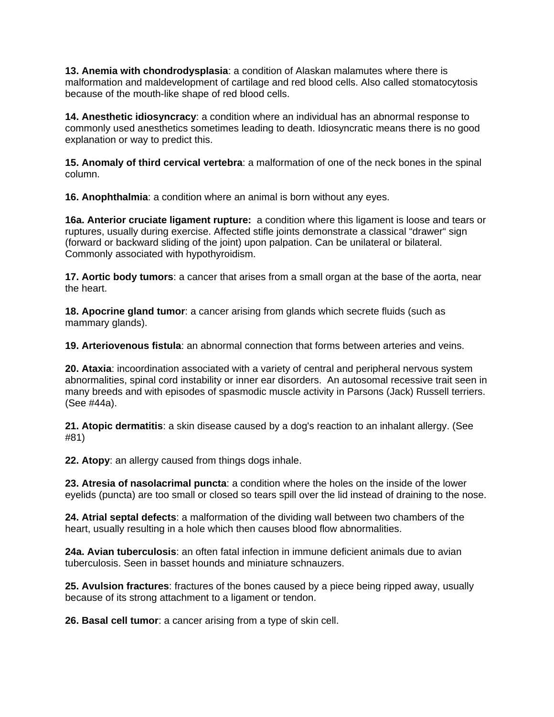**13. Anemia with chondrodysplasia**: a condition of Alaskan malamutes where there is malformation and maldevelopment of cartilage and red blood cells. Also called stomatocytosis because of the mouth-like shape of red blood cells.

**14. Anesthetic idiosyncracy**: a condition where an individual has an abnormal response to commonly used anesthetics sometimes leading to death. Idiosyncratic means there is no good explanation or way to predict this.

**15. Anomaly of third cervical vertebra**: a malformation of one of the neck bones in the spinal column.

**16. Anophthalmia**: a condition where an animal is born without any eyes.

**16a. Anterior cruciate ligament rupture:** a condition where this ligament is loose and tears or ruptures, usually during exercise. Affected stifle joints demonstrate a classical "drawer" sign (forward or backward sliding of the joint) upon palpation. Can be unilateral or bilateral. Commonly associated with hypothyroidism.

**17. Aortic body tumors**: a cancer that arises from a small organ at the base of the aorta, near the heart.

**18. Apocrine gland tumor**: a cancer arising from glands which secrete fluids (such as mammary glands).

**19. Arteriovenous fistula**: an abnormal connection that forms between arteries and veins.

**20. Ataxia**: incoordination associated with a variety of central and peripheral nervous system abnormalities, spinal cord instability or inner ear disorders. An autosomal recessive trait seen in many breeds and with episodes of spasmodic muscle activity in Parsons (Jack) Russell terriers. (See #44a).

**21. Atopic dermatitis**: a skin disease caused by a dog's reaction to an inhalant allergy. (See #81)

**22. Atopy**: an allergy caused from things dogs inhale.

**23. Atresia of nasolacrimal puncta**: a condition where the holes on the inside of the lower eyelids (puncta) are too small or closed so tears spill over the lid instead of draining to the nose.

**24. Atrial septal defects**: a malformation of the dividing wall between two chambers of the heart, usually resulting in a hole which then causes blood flow abnormalities.

**24a. Avian tuberculosis**: an often fatal infection in immune deficient animals due to avian tuberculosis. Seen in basset hounds and miniature schnauzers.

**25. Avulsion fractures**: fractures of the bones caused by a piece being ripped away, usually because of its strong attachment to a ligament or tendon.

**26. Basal cell tumor**: a cancer arising from a type of skin cell.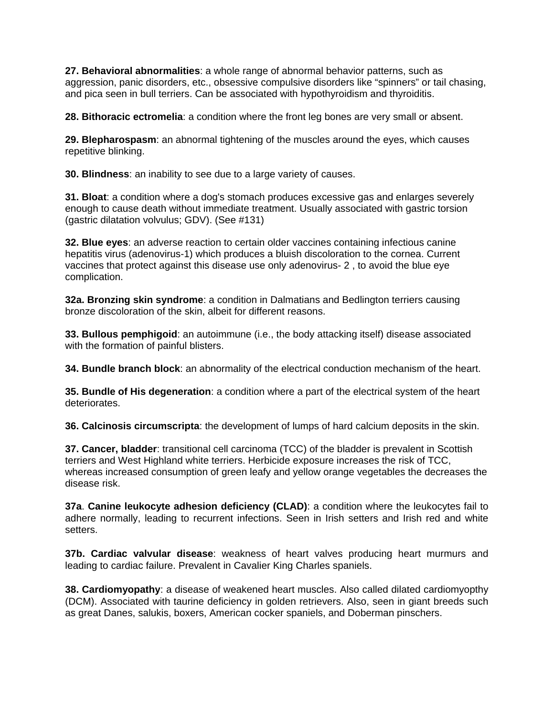**27. Behavioral abnormalities**: a whole range of abnormal behavior patterns, such as aggression, panic disorders, etc., obsessive compulsive disorders like "spinners" or tail chasing, and pica seen in bull terriers. Can be associated with hypothyroidism and thyroiditis.

**28. Bithoracic ectromelia**: a condition where the front leg bones are very small or absent.

**29. Blepharospasm**: an abnormal tightening of the muscles around the eyes, which causes repetitive blinking.

**30. Blindness**: an inability to see due to a large variety of causes.

**31. Bloat**: a condition where a dog's stomach produces excessive gas and enlarges severely enough to cause death without immediate treatment. Usually associated with gastric torsion (gastric dilatation volvulus; GDV). (See #131)

**32. Blue eyes**: an adverse reaction to certain older vaccines containing infectious canine hepatitis virus (adenovirus-1) which produces a bluish discoloration to the cornea. Current vaccines that protect against this disease use only adenovirus- 2 , to avoid the blue eye complication.

**32a. Bronzing skin syndrome**: a condition in Dalmatians and Bedlington terriers causing bronze discoloration of the skin, albeit for different reasons.

**33. Bullous pemphigoid**: an autoimmune (i.e., the body attacking itself) disease associated with the formation of painful blisters.

**34. Bundle branch block**: an abnormality of the electrical conduction mechanism of the heart.

**35. Bundle of His degeneration**: a condition where a part of the electrical system of the heart deteriorates.

**36. Calcinosis circumscripta**: the development of lumps of hard calcium deposits in the skin.

**37. Cancer, bladder**: transitional cell carcinoma (TCC) of the bladder is prevalent in Scottish terriers and West Highland white terriers. Herbicide exposure increases the risk of TCC, whereas increased consumption of green leafy and yellow orange vegetables the decreases the disease risk.

**37a**. **Canine leukocyte adhesion deficiency (CLAD)**: a condition where the leukocytes fail to adhere normally, leading to recurrent infections. Seen in Irish setters and Irish red and white setters.

**37b. Cardiac valvular disease**: weakness of heart valves producing heart murmurs and leading to cardiac failure. Prevalent in Cavalier King Charles spaniels.

**38. Cardiomyopathy**: a disease of weakened heart muscles. Also called dilated cardiomyopthy (DCM). Associated with taurine deficiency in golden retrievers. Also, seen in giant breeds such as great Danes, salukis, boxers, American cocker spaniels, and Doberman pinschers.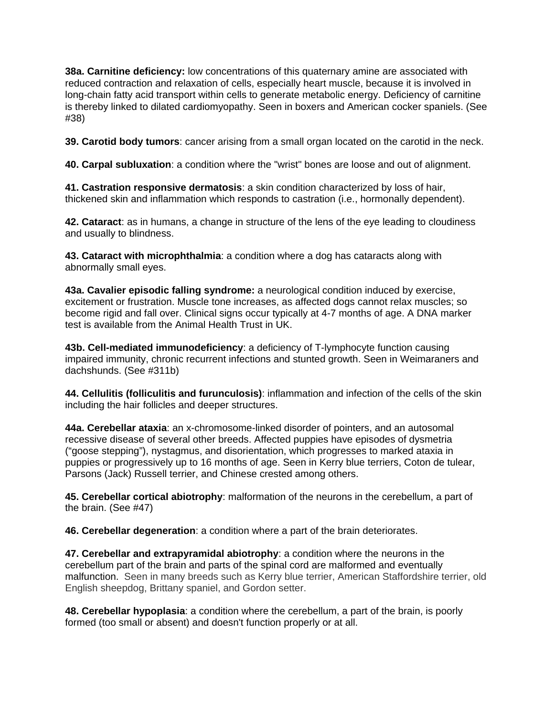**38a. Carnitine deficiency:** low concentrations of this quaternary amine are associated with reduced contraction and relaxation of cells, especially heart muscle, because it is involved in long-chain fatty acid transport within cells to generate metabolic energy. Deficiency of carnitine is thereby linked to dilated cardiomyopathy. Seen in boxers and American cocker spaniels. (See #38)

**39. Carotid body tumors**: cancer arising from a small organ located on the carotid in the neck.

**40. Carpal subluxation**: a condition where the "wrist" bones are loose and out of alignment.

**41. Castration responsive dermatosis**: a skin condition characterized by loss of hair, thickened skin and inflammation which responds to castration (i.e., hormonally dependent).

**42. Cataract**: as in humans, a change in structure of the lens of the eye leading to cloudiness and usually to blindness.

**43. Cataract with microphthalmia**: a condition where a dog has cataracts along with abnormally small eyes.

**43a. Cavalier episodic falling syndrome:** a neurological condition induced by exercise, excitement or frustration. Muscle tone increases, as affected dogs cannot relax muscles; so become rigid and fall over. Clinical signs occur typically at 4-7 months of age. A DNA marker test is available from the Animal Health Trust in UK.

**43b. Cell-mediated immunodeficiency**: a deficiency of T-lymphocyte function causing impaired immunity, chronic recurrent infections and stunted growth. Seen in Weimaraners and dachshunds. (See #311b)

**44. Cellulitis (folliculitis and furunculosis)**: inflammation and infection of the cells of the skin including the hair follicles and deeper structures.

**44a. Cerebellar ataxia**: an x-chromosome-linked disorder of pointers, and an autosomal recessive disease of several other breeds. Affected puppies have episodes of dysmetria ("goose stepping"), nystagmus, and disorientation, which progresses to marked ataxia in puppies or progressively up to 16 months of age. Seen in Kerry blue terriers, Coton de tulear, Parsons (Jack) Russell terrier, and Chinese crested among others.

**45. Cerebellar cortical abiotrophy**: malformation of the neurons in the cerebellum, a part of the brain. (See #47)

**46. Cerebellar degeneration**: a condition where a part of the brain deteriorates.

**47. Cerebellar and extrapyramidal abiotrophy**: a condition where the neurons in the cerebellum part of the brain and parts of the spinal cord are malformed and eventually malfunction. Seen in many breeds such as Kerry blue terrier, American Staffordshire terrier, old English sheepdog, Brittany spaniel, and Gordon setter.

**48. Cerebellar hypoplasia**: a condition where the cerebellum, a part of the brain, is poorly formed (too small or absent) and doesn't function properly or at all.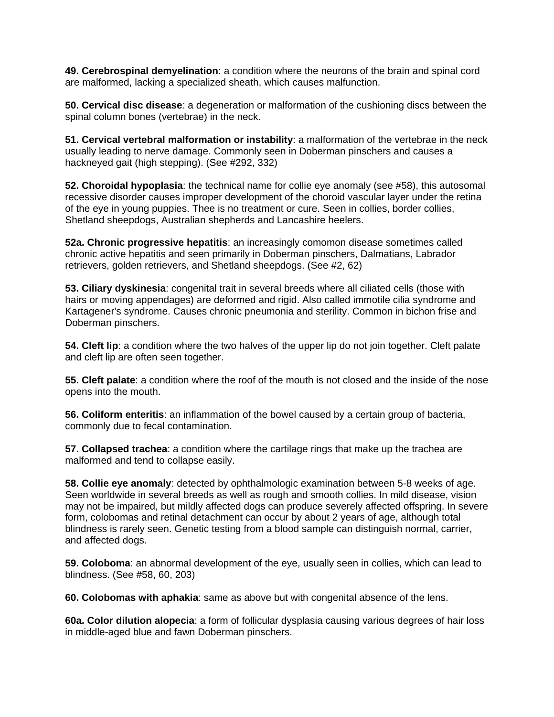**49. Cerebrospinal demyelination**: a condition where the neurons of the brain and spinal cord are malformed, lacking a specialized sheath, which causes malfunction.

**50. Cervical disc disease**: a degeneration or malformation of the cushioning discs between the spinal column bones (vertebrae) in the neck.

**51. Cervical vertebral malformation or instability**: a malformation of the vertebrae in the neck usually leading to nerve damage. Commonly seen in Doberman pinschers and causes a hackneyed gait (high stepping). (See #292, 332)

**52. Choroidal hypoplasia**: the technical name for collie eye anomaly (see #58), this autosomal recessive disorder causes improper development of the choroid vascular layer under the retina of the eye in young puppies. Thee is no treatment or cure. Seen in collies, border collies, Shetland sheepdogs, Australian shepherds and Lancashire heelers.

**52a. Chronic progressive hepatitis**: an increasingly comomon disease sometimes called chronic active hepatitis and seen primarily in Doberman pinschers, Dalmatians, Labrador retrievers, golden retrievers, and Shetland sheepdogs. (See #2, 62)

**53. Ciliary dyskinesia**: congenital trait in several breeds where all ciliated cells (those with hairs or moving appendages) are deformed and rigid. Also called immotile cilia syndrome and Kartagener's syndrome. Causes chronic pneumonia and sterility. Common in bichon frise and Doberman pinschers.

**54. Cleft lip**: a condition where the two halves of the upper lip do not join together. Cleft palate and cleft lip are often seen together.

**55. Cleft palate**: a condition where the roof of the mouth is not closed and the inside of the nose opens into the mouth.

**56. Coliform enteritis**: an inflammation of the bowel caused by a certain group of bacteria, commonly due to fecal contamination.

**57. Collapsed trachea**: a condition where the cartilage rings that make up the trachea are malformed and tend to collapse easily.

**58. Collie eye anomaly**: detected by ophthalmologic examination between 5-8 weeks of age. Seen worldwide in several breeds as well as rough and smooth collies. In mild disease, vision may not be impaired, but mildly affected dogs can produce severely affected offspring. In severe form, colobomas and retinal detachment can occur by about 2 years of age, although total blindness is rarely seen. Genetic testing from a blood sample can distinguish normal, carrier, and affected dogs.

**59. Coloboma**: an abnormal development of the eye, usually seen in collies, which can lead to blindness. (See #58, 60, 203)

**60. Colobomas with aphakia**: same as above but with congenital absence of the lens.

**60a. Color dilution alopecia**: a form of follicular dysplasia causing various degrees of hair loss in middle-aged blue and fawn Doberman pinschers.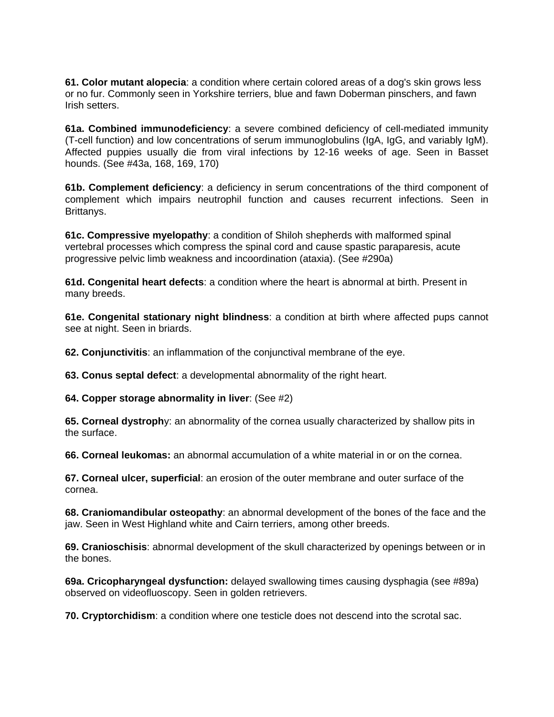**61. Color mutant alopecia**: a condition where certain colored areas of a dog's skin grows less or no fur. Commonly seen in Yorkshire terriers, blue and fawn Doberman pinschers, and fawn Irish setters.

**61a. Combined immunodeficiency**: a severe combined deficiency of cell-mediated immunity (T-cell function) and low concentrations of serum immunoglobulins (IgA, IgG, and variably IgM). Affected puppies usually die from viral infections by 12-16 weeks of age. Seen in Basset hounds. (See #43a, 168, 169, 170)

**61b. Complement deficiency**: a deficiency in serum concentrations of the third component of complement which impairs neutrophil function and causes recurrent infections. Seen in Brittanys.

**61c. Compressive myelopathy**: a condition of Shiloh shepherds with malformed spinal vertebral processes which compress the spinal cord and cause spastic paraparesis, acute progressive pelvic limb weakness and incoordination (ataxia). (See #290a)

**61d. Congenital heart defects**: a condition where the heart is abnormal at birth. Present in many breeds.

**61e. Congenital stationary night blindness**: a condition at birth where affected pups cannot see at night. Seen in briards.

**62. Conjunctivitis**: an inflammation of the conjunctival membrane of the eye.

**63. Conus septal defect**: a developmental abnormality of the right heart.

**64. Copper storage abnormality in liver**: (See #2)

**65. Corneal dystroph**y: an abnormality of the cornea usually characterized by shallow pits in the surface.

**66. Corneal leukomas:** an abnormal accumulation of a white material in or on the cornea.

**67. Corneal ulcer, superficial**: an erosion of the outer membrane and outer surface of the cornea.

**68. Craniomandibular osteopathy**: an abnormal development of the bones of the face and the jaw. Seen in West Highland white and Cairn terriers, among other breeds.

**69. Cranioschisis**: abnormal development of the skull characterized by openings between or in the bones.

**69a. Cricopharyngeal dysfunction:** delayed swallowing times causing dysphagia (see #89a) observed on videofluoscopy. Seen in golden retrievers.

**70. Cryptorchidism**: a condition where one testicle does not descend into the scrotal sac.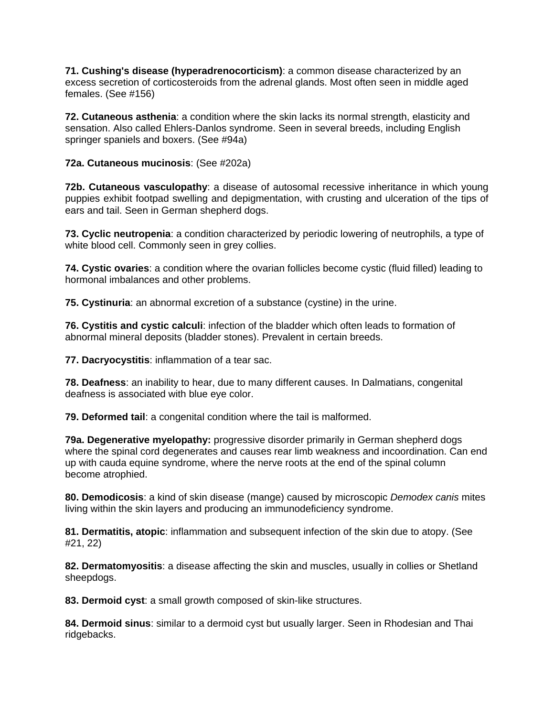**71. Cushing's disease (hyperadrenocorticism)**: a common disease characterized by an excess secretion of corticosteroids from the adrenal glands. Most often seen in middle aged females. (See #156)

**72. Cutaneous asthenia**: a condition where the skin lacks its normal strength, elasticity and sensation. Also called Ehlers-Danlos syndrome. Seen in several breeds, including English springer spaniels and boxers. (See #94a)

**72a. Cutaneous mucinosis**: (See #202a)

**72b. Cutaneous vasculopathy**: a disease of autosomal recessive inheritance in which young puppies exhibit footpad swelling and depigmentation, with crusting and ulceration of the tips of ears and tail. Seen in German shepherd dogs.

**73. Cyclic neutropenia**: a condition characterized by periodic lowering of neutrophils, a type of white blood cell. Commonly seen in grey collies.

**74. Cystic ovaries**: a condition where the ovarian follicles become cystic (fluid filled) leading to hormonal imbalances and other problems.

**75. Cystinuria**: an abnormal excretion of a substance (cystine) in the urine.

**76. Cystitis and cystic calculi**: infection of the bladder which often leads to formation of abnormal mineral deposits (bladder stones). Prevalent in certain breeds.

**77. Dacryocystitis**: inflammation of a tear sac.

**78. Deafness**: an inability to hear, due to many different causes. In Dalmatians, congenital deafness is associated with blue eye color.

**79. Deformed tail**: a congenital condition where the tail is malformed.

**79a. Degenerative myelopathy:** progressive disorder primarily in German shepherd dogs where the spinal cord degenerates and causes rear limb weakness and incoordination. Can end up with cauda equine syndrome, where the nerve roots at the end of the spinal column become atrophied.

**80. Demodicosis**: a kind of skin disease (mange) caused by microscopic *Demodex canis* mites living within the skin layers and producing an immunodeficiency syndrome.

**81. Dermatitis, atopic**: inflammation and subsequent infection of the skin due to atopy. (See #21, 22)

**82. Dermatomyositis**: a disease affecting the skin and muscles, usually in collies or Shetland sheepdogs.

**83. Dermoid cyst**: a small growth composed of skin-like structures.

**84. Dermoid sinus**: similar to a dermoid cyst but usually larger. Seen in Rhodesian and Thai ridgebacks.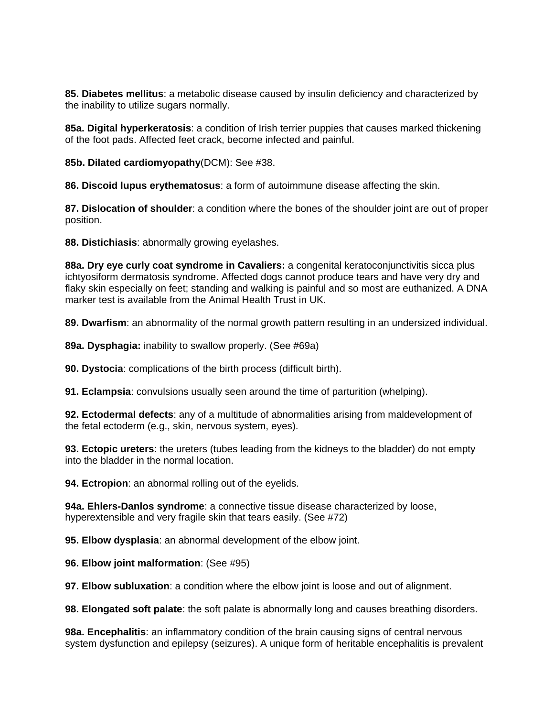**85. Diabetes mellitus**: a metabolic disease caused by insulin deficiency and characterized by the inability to utilize sugars normally.

**85a. Digital hyperkeratosis**: a condition of Irish terrier puppies that causes marked thickening of the foot pads. Affected feet crack, become infected and painful.

**85b. Dilated cardiomyopathy**(DCM): See #38.

**86. Discoid lupus erythematosus**: a form of autoimmune disease affecting the skin.

**87. Dislocation of shoulder**: a condition where the bones of the shoulder joint are out of proper position.

**88. Distichiasis**: abnormally growing eyelashes.

**88a. Dry eye curly coat syndrome in Cavaliers:** a congenital keratoconjunctivitis sicca plus ichtyosiform dermatosis syndrome. Affected dogs cannot produce tears and have very dry and flaky skin especially on feet; standing and walking is painful and so most are euthanized. A DNA marker test is available from the Animal Health Trust in UK.

**89. Dwarfism**: an abnormality of the normal growth pattern resulting in an undersized individual.

**89a. Dysphagia:** inability to swallow properly. (See #69a)

**90. Dystocia**: complications of the birth process (difficult birth).

**91. Eclampsia**: convulsions usually seen around the time of parturition (whelping).

**92. Ectodermal defects**: any of a multitude of abnormalities arising from maldevelopment of the fetal ectoderm (e.g., skin, nervous system, eyes).

**93. Ectopic ureters**: the ureters (tubes leading from the kidneys to the bladder) do not empty into the bladder in the normal location.

**94. Ectropion**: an abnormal rolling out of the eyelids.

**94a. Ehlers-Danlos syndrome**: a connective tissue disease characterized by loose, hyperextensible and very fragile skin that tears easily. (See #72)

**95. Elbow dysplasia**: an abnormal development of the elbow joint.

**96. Elbow joint malformation**: (See #95)

**97. Elbow subluxation**: a condition where the elbow joint is loose and out of alignment.

**98. Elongated soft palate**: the soft palate is abnormally long and causes breathing disorders.

**98a. Encephalitis**: an inflammatory condition of the brain causing signs of central nervous system dysfunction and epilepsy (seizures). A unique form of heritable encephalitis is prevalent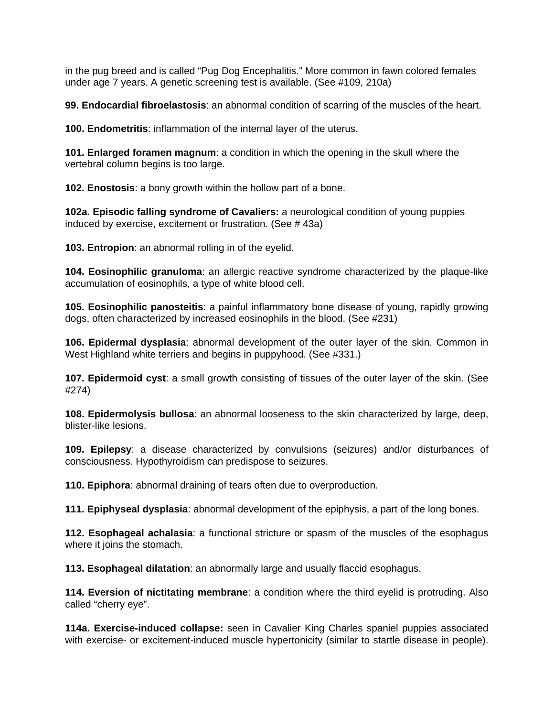in the pug breed and is called "Pug Dog Encephalitis." More common in fawn colored females under age 7 years. A genetic screening test is available. (See #109, 210a)

**99. Endocardial fibroelastosis**: an abnormal condition of scarring of the muscles of the heart.

**100. Endometritis**: inflammation of the internal layer of the uterus.

**101. Enlarged foramen magnum**: a condition in which the opening in the skull where the vertebral column begins is too large.

**102. Enostosis**: a bony growth within the hollow part of a bone.

**102a. Episodic falling syndrome of Cavaliers:** a neurological condition of young puppies induced by exercise, excitement or frustration. (See # 43a)

**103. Entropion**: an abnormal rolling in of the eyelid.

**104. Eosinophilic granuloma**: an allergic reactive syndrome characterized by the plaque-like accumulation of eosinophils, a type of white blood cell.

**105. Eosinophilic panosteitis**: a painful inflammatory bone disease of young, rapidly growing dogs, often characterized by increased eosinophils in the blood. (See #231)

**106. Epidermal dysplasia**: abnormal development of the outer layer of the skin. Common in West Highland white terriers and begins in puppyhood. (See #331.)

**107. Epidermoid cyst**: a small growth consisting of tissues of the outer layer of the skin. (See #274)

**108. Epidermolysis bullosa**: an abnormal looseness to the skin characterized by large, deep, blister-like lesions.

**109. Epilepsy**: a disease characterized by convulsions (seizures) and/or disturbances of consciousness. Hypothyroidism can predispose to seizures.

**110. Epiphora**: abnormal draining of tears often due to overproduction.

**111. Epiphyseal dysplasia**: abnormal development of the epiphysis, a part of the long bones.

**112. Esophageal achalasia**: a functional stricture or spasm of the muscles of the esophagus where it joins the stomach.

**113. Esophageal dilatation**: an abnormally large and usually flaccid esophagus.

**114. Eversion of nictitating membrane**: a condition where the third eyelid is protruding. Also called "cherry eye".

**114a. Exercise-induced collapse:** seen in Cavalier King Charles spaniel puppies associated with exercise- or excitement-induced muscle hypertonicity (similar to startle disease in people).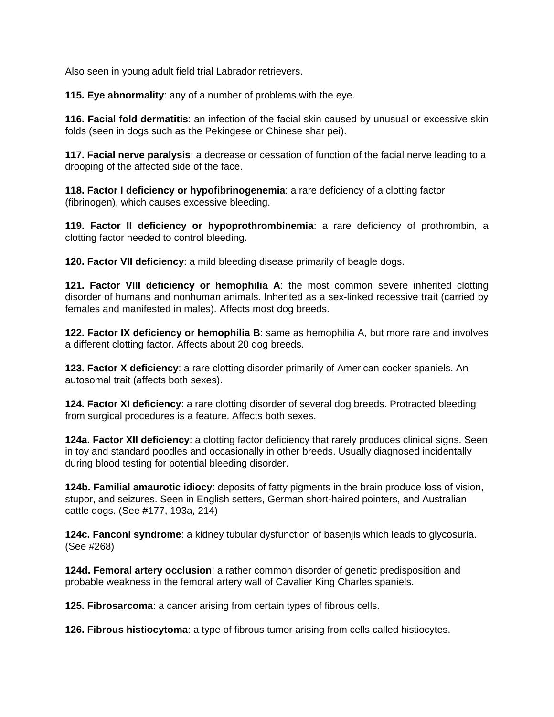Also seen in young adult field trial Labrador retrievers.

**115. Eye abnormality**: any of a number of problems with the eye.

**116. Facial fold dermatitis**: an infection of the facial skin caused by unusual or excessive skin folds (seen in dogs such as the Pekingese or Chinese shar pei).

**117. Facial nerve paralysis**: a decrease or cessation of function of the facial nerve leading to a drooping of the affected side of the face.

**118. Factor I deficiency or hypofibrinogenemia**: a rare deficiency of a clotting factor (fibrinogen), which causes excessive bleeding.

**119. Factor II deficiency or hypoprothrombinemia**: a rare deficiency of prothrombin, a clotting factor needed to control bleeding.

**120. Factor VII deficiency**: a mild bleeding disease primarily of beagle dogs.

**121. Factor VIII deficiency or hemophilia A**: the most common severe inherited clotting disorder of humans and nonhuman animals. Inherited as a sex-linked recessive trait (carried by females and manifested in males). Affects most dog breeds.

**122. Factor IX deficiency or hemophilia B**: same as hemophilia A, but more rare and involves a different clotting factor. Affects about 20 dog breeds.

**123. Factor X deficiency**: a rare clotting disorder primarily of American cocker spaniels. An autosomal trait (affects both sexes).

**124. Factor XI deficiency**: a rare clotting disorder of several dog breeds. Protracted bleeding from surgical procedures is a feature. Affects both sexes.

**124a. Factor XII deficiency**: a clotting factor deficiency that rarely produces clinical signs. Seen in toy and standard poodles and occasionally in other breeds. Usually diagnosed incidentally during blood testing for potential bleeding disorder.

**124b. Familial amaurotic idiocy**: deposits of fatty pigments in the brain produce loss of vision, stupor, and seizures. Seen in English setters, German short-haired pointers, and Australian cattle dogs. (See #177, 193a, 214)

**124c. Fanconi syndrome**: a kidney tubular dysfunction of basenjis which leads to glycosuria. (See #268)

**124d. Femoral artery occlusion**: a rather common disorder of genetic predisposition and probable weakness in the femoral artery wall of Cavalier King Charles spaniels.

**125. Fibrosarcoma**: a cancer arising from certain types of fibrous cells.

**126. Fibrous histiocytoma**: a type of fibrous tumor arising from cells called histiocytes.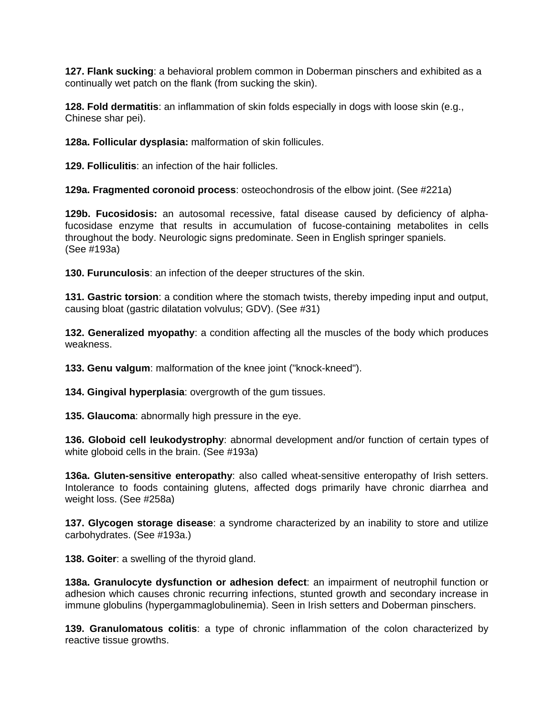**127. Flank sucking**: a behavioral problem common in Doberman pinschers and exhibited as a continually wet patch on the flank (from sucking the skin).

**128. Fold dermatitis**: an inflammation of skin folds especially in dogs with loose skin (e.g., Chinese shar pei).

**128a. Follicular dysplasia:** malformation of skin follicules.

**129. Folliculitis**: an infection of the hair follicles.

**129a. Fragmented coronoid process**: osteochondrosis of the elbow joint. (See #221a)

**129b. Fucosidosis:** an autosomal recessive, fatal disease caused by deficiency of alphafucosidase enzyme that results in accumulation of fucose-containing metabolites in cells throughout the body. Neurologic signs predominate. Seen in English springer spaniels. (See #193a)

**130. Furunculosis**: an infection of the deeper structures of the skin.

**131. Gastric torsion**: a condition where the stomach twists, thereby impeding input and output, causing bloat (gastric dilatation volvulus; GDV). (See #31)

**132. Generalized myopathy**: a condition affecting all the muscles of the body which produces weakness.

**133. Genu valgum**: malformation of the knee joint ("knock-kneed").

**134. Gingival hyperplasia**: overgrowth of the gum tissues.

**135. Glaucoma**: abnormally high pressure in the eye.

**136. Globoid cell leukodystrophy**: abnormal development and/or function of certain types of white globoid cells in the brain. (See #193a)

**136a. Gluten-sensitive enteropathy**: also called wheat-sensitive enteropathy of Irish setters. Intolerance to foods containing glutens, affected dogs primarily have chronic diarrhea and weight loss. (See #258a)

**137. Glycogen storage disease**: a syndrome characterized by an inability to store and utilize carbohydrates. (See #193a.)

**138. Goiter**: a swelling of the thyroid gland.

**138a. Granulocyte dysfunction or adhesion defect**: an impairment of neutrophil function or adhesion which causes chronic recurring infections, stunted growth and secondary increase in immune globulins (hypergammaglobulinemia). Seen in Irish setters and Doberman pinschers.

**139. Granulomatous colitis**: a type of chronic inflammation of the colon characterized by reactive tissue growths.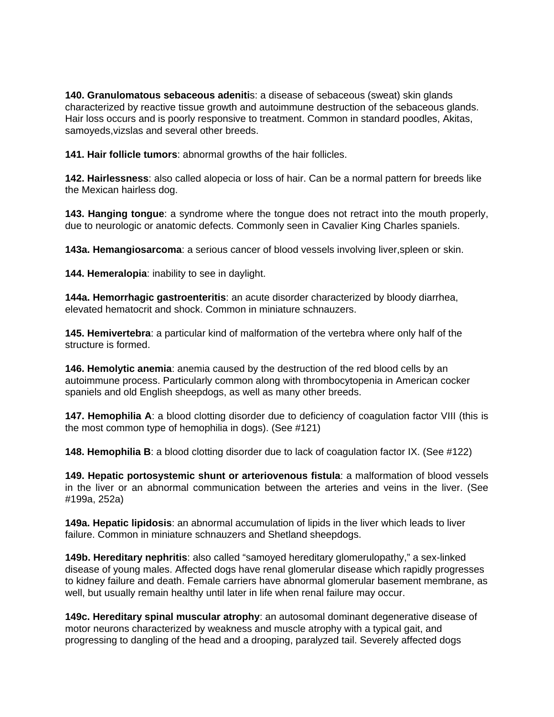**140. Granulomatous sebaceous adeniti**s: a disease of sebaceous (sweat) skin glands characterized by reactive tissue growth and autoimmune destruction of the sebaceous glands. Hair loss occurs and is poorly responsive to treatment. Common in standard poodles, Akitas, samoyeds,vizslas and several other breeds.

**141. Hair follicle tumors**: abnormal growths of the hair follicles.

**142. Hairlessness**: also called alopecia or loss of hair. Can be a normal pattern for breeds like the Mexican hairless dog.

**143. Hanging tongue**: a syndrome where the tongue does not retract into the mouth properly, due to neurologic or anatomic defects. Commonly seen in Cavalier King Charles spaniels.

**143a. Hemangiosarcoma**: a serious cancer of blood vessels involving liver,spleen or skin.

**144. Hemeralopia**: inability to see in daylight.

**144a. Hemorrhagic gastroenteritis**: an acute disorder characterized by bloody diarrhea, elevated hematocrit and shock. Common in miniature schnauzers.

**145. Hemivertebra**: a particular kind of malformation of the vertebra where only half of the structure is formed.

**146. Hemolytic anemia**: anemia caused by the destruction of the red blood cells by an autoimmune process. Particularly common along with thrombocytopenia in American cocker spaniels and old English sheepdogs, as well as many other breeds.

**147. Hemophilia A**: a blood clotting disorder due to deficiency of coagulation factor VIII (this is the most common type of hemophilia in dogs). (See #121)

**148. Hemophilia B**: a blood clotting disorder due to lack of coagulation factor IX. (See #122)

**149. Hepatic portosystemic shunt or arteriovenous fistula**: a malformation of blood vessels in the liver or an abnormal communication between the arteries and veins in the liver. (See #199a, 252a)

**149a. Hepatic lipidosis**: an abnormal accumulation of lipids in the liver which leads to liver failure. Common in miniature schnauzers and Shetland sheepdogs.

**149b. Hereditary nephritis**: also called "samoyed hereditary glomerulopathy," a sex-linked disease of young males. Affected dogs have renal glomerular disease which rapidly progresses to kidney failure and death. Female carriers have abnormal glomerular basement membrane, as well, but usually remain healthy until later in life when renal failure may occur.

**149c. Hereditary spinal muscular atrophy**: an autosomal dominant degenerative disease of motor neurons characterized by weakness and muscle atrophy with a typical gait, and progressing to dangling of the head and a drooping, paralyzed tail. Severely affected dogs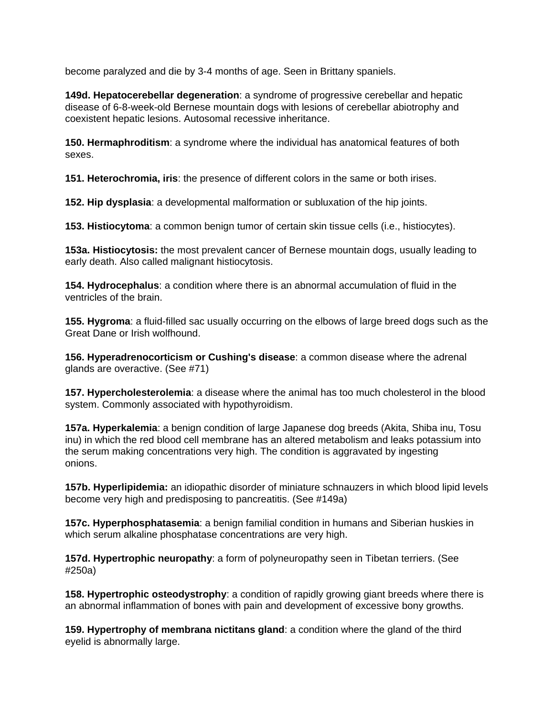become paralyzed and die by 3-4 months of age. Seen in Brittany spaniels.

**149d. Hepatocerebellar degeneration**: a syndrome of progressive cerebellar and hepatic disease of 6-8-week-old Bernese mountain dogs with lesions of cerebellar abiotrophy and coexistent hepatic lesions. Autosomal recessive inheritance.

**150. Hermaphroditism**: a syndrome where the individual has anatomical features of both sexes.

**151. Heterochromia, iris**: the presence of different colors in the same or both irises.

**152. Hip dysplasia**: a developmental malformation or subluxation of the hip joints.

**153. Histiocytoma**: a common benign tumor of certain skin tissue cells (i.e., histiocytes).

**153a. Histiocytosis:** the most prevalent cancer of Bernese mountain dogs, usually leading to early death. Also called malignant histiocytosis.

**154. Hydrocephalus**: a condition where there is an abnormal accumulation of fluid in the ventricles of the brain.

**155. Hygroma**: a fluid-filled sac usually occurring on the elbows of large breed dogs such as the Great Dane or Irish wolfhound.

**156. Hyperadrenocorticism or Cushing's disease**: a common disease where the adrenal glands are overactive. (See #71)

**157. Hypercholesterolemia**: a disease where the animal has too much cholesterol in the blood system. Commonly associated with hypothyroidism.

**157a. Hyperkalemia**: a benign condition of large Japanese dog breeds (Akita, Shiba inu, Tosu inu) in which the red blood cell membrane has an altered metabolism and leaks potassium into the serum making concentrations very high. The condition is aggravated by ingesting onions.

**157b. Hyperlipidemia:** an idiopathic disorder of miniature schnauzers in which blood lipid levels become very high and predisposing to pancreatitis. (See #149a)

**157c. Hyperphosphatasemia**: a benign familial condition in humans and Siberian huskies in which serum alkaline phosphatase concentrations are very high.

**157d. Hypertrophic neuropathy**: a form of polyneuropathy seen in Tibetan terriers. (See #250a)

**158. Hypertrophic osteodystrophy**: a condition of rapidly growing giant breeds where there is an abnormal inflammation of bones with pain and development of excessive bony growths.

**159. Hypertrophy of membrana nictitans gland**: a condition where the gland of the third eyelid is abnormally large.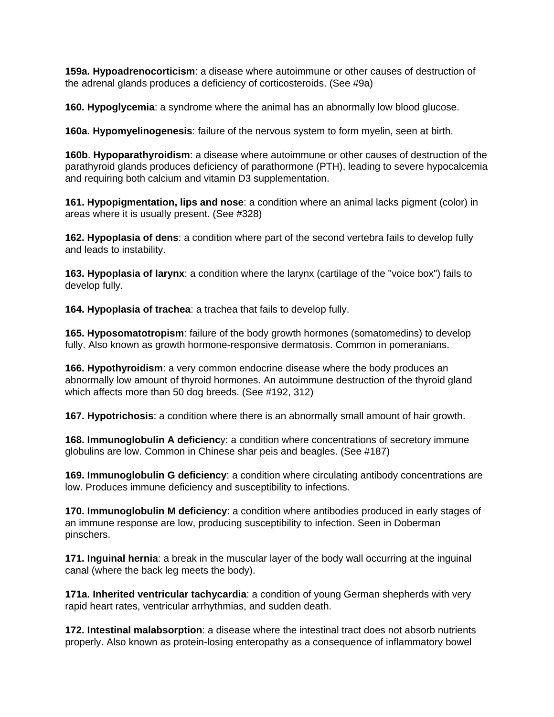**159a. Hypoadrenocorticism**: a disease where autoimmune or other causes of destruction of the adrenal glands produces a deficiency of corticosteroids. (See #9a)

**160. Hypoglycemia**: a syndrome where the animal has an abnormally low blood glucose.

**160a. Hypomyelinogenesis**: failure of the nervous system to form myelin, seen at birth.

**160b**. **Hypoparathyroidism**: a disease where autoimmune or other causes of destruction of the parathyroid glands produces deficiency of parathormone (PTH), leading to severe hypocalcemia and requiring both calcium and vitamin D3 supplementation.

**161. Hypopigmentation, lips and nose**: a condition where an animal lacks pigment (color) in areas where it is usually present. (See #328)

**162. Hypoplasia of dens**: a condition where part of the second vertebra fails to develop fully and leads to instability.

**163. Hypoplasia of larynx**: a condition where the larynx (cartilage of the "voice box") fails to develop fully.

**164. Hypoplasia of trachea**: a trachea that fails to develop fully.

**165. Hyposomatotropism**: failure of the body growth hormones (somatomedins) to develop fully. Also known as growth hormone-responsive dermatosis. Common in pomeranians.

**166. Hypothyroidism**: a very common endocrine disease where the body produces an abnormally low amount of thyroid hormones. An autoimmune destruction of the thyroid gland which affects more than 50 dog breeds. (See #192, 312)

**167. Hypotrichosis**: a condition where there is an abnormally small amount of hair growth.

**168. Immunoglobulin A deficienc**y: a condition where concentrations of secretory immune globulins are low. Common in Chinese shar peis and beagles. (See #187)

**169. Immunoglobulin G deficiency**: a condition where circulating antibody concentrations are low. Produces immune deficiency and susceptibility to infections.

**170. Immunoglobulin M deficiency**: a condition where antibodies produced in early stages of an immune response are low, producing susceptibility to infection. Seen in Doberman pinschers.

**171. Inguinal hernia**: a break in the muscular layer of the body wall occurring at the inguinal canal (where the back leg meets the body).

**171a. Inherited ventricular tachycardia**: a condition of young German shepherds with very rapid heart rates, ventricular arrhythmias, and sudden death.

**172. Intestinal malabsorption**: a disease where the intestinal tract does not absorb nutrients properly. Also known as protein-losing enteropathy as a consequence of inflammatory bowel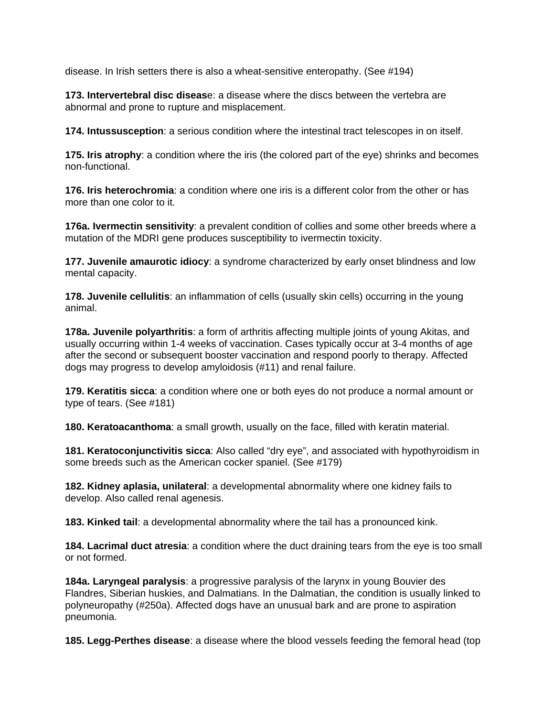disease. In Irish setters there is also a wheat-sensitive enteropathy. (See #194)

**173. Intervertebral disc diseas**e: a disease where the discs between the vertebra are abnormal and prone to rupture and misplacement.

**174. Intussusception**: a serious condition where the intestinal tract telescopes in on itself.

**175. Iris atrophy**: a condition where the iris (the colored part of the eye) shrinks and becomes non-functional.

**176. Iris heterochromia**: a condition where one iris is a different color from the other or has more than one color to it.

**176a. Ivermectin sensitivity**: a prevalent condition of collies and some other breeds where a mutation of the MDRI gene produces susceptibility to ivermectin toxicity.

**177. Juvenile amaurotic idiocy**: a syndrome characterized by early onset blindness and low mental capacity.

**178. Juvenile cellulitis**: an inflammation of cells (usually skin cells) occurring in the young animal.

**178a. Juvenile polyarthritis**: a form of arthritis affecting multiple joints of young Akitas, and usually occurring within 1-4 weeks of vaccination. Cases typically occur at 3-4 months of age after the second or subsequent booster vaccination and respond poorly to therapy. Affected dogs may progress to develop amyloidosis (#11) and renal failure.

**179. Keratitis sicca**: a condition where one or both eyes do not produce a normal amount or type of tears. (See #181)

**180. Keratoacanthoma**: a small growth, usually on the face, filled with keratin material.

**181. Keratoconjunctivitis sicca**: Also called "dry eye", and associated with hypothyroidism in some breeds such as the American cocker spaniel. (See #179)

**182. Kidney aplasia, unilateral**: a developmental abnormality where one kidney fails to develop. Also called renal agenesis.

**183. Kinked tail**: a developmental abnormality where the tail has a pronounced kink.

**184. Lacrimal duct atresia**: a condition where the duct draining tears from the eye is too small or not formed.

**184a. Laryngeal paralysis**: a progressive paralysis of the larynx in young Bouvier des Flandres, Siberian huskies, and Dalmatians. In the Dalmatian, the condition is usually linked to polyneuropathy (#250a). Affected dogs have an unusual bark and are prone to aspiration pneumonia.

**185. Legg-Perthes disease**: a disease where the blood vessels feeding the femoral head (top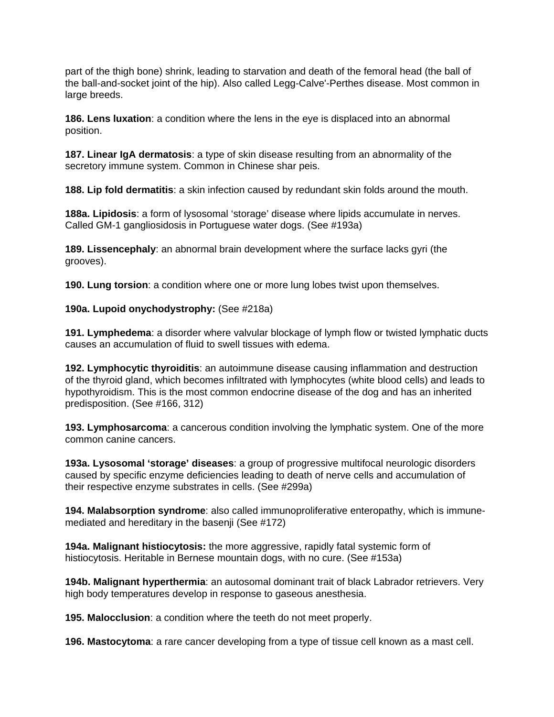part of the thigh bone) shrink, leading to starvation and death of the femoral head (the ball of the ball-and-socket joint of the hip). Also called Legg-Calve'-Perthes disease. Most common in large breeds.

**186. Lens luxation**: a condition where the lens in the eye is displaced into an abnormal position.

**187. Linear IgA dermatosis**: a type of skin disease resulting from an abnormality of the secretory immune system. Common in Chinese shar peis.

**188. Lip fold dermatitis**: a skin infection caused by redundant skin folds around the mouth.

**188a. Lipidosis**: a form of lysosomal 'storage' disease where lipids accumulate in nerves. Called GM-1 gangliosidosis in Portuguese water dogs. (See #193a)

**189. Lissencephaly**: an abnormal brain development where the surface lacks gyri (the grooves).

**190. Lung torsion**: a condition where one or more lung lobes twist upon themselves.

**190a. Lupoid onychodystrophy:** (See #218a)

**191. Lymphedema**: a disorder where valvular blockage of lymph flow or twisted lymphatic ducts causes an accumulation of fluid to swell tissues with edema.

**192. Lymphocytic thyroiditis**: an autoimmune disease causing inflammation and destruction of the thyroid gland, which becomes infiltrated with lymphocytes (white blood cells) and leads to hypothyroidism. This is the most common endocrine disease of the dog and has an inherited predisposition. (See #166, 312)

**193. Lymphosarcoma**: a cancerous condition involving the lymphatic system. One of the more common canine cancers.

**193a. Lysosomal 'storage' diseases**: a group of progressive multifocal neurologic disorders caused by specific enzyme deficiencies leading to death of nerve cells and accumulation of their respective enzyme substrates in cells. (See #299a)

**194. Malabsorption syndrome**: also called immunoproliferative enteropathy, which is immunemediated and hereditary in the basenji (See #172)

**194a. Malignant histiocytosis:** the more aggressive, rapidly fatal systemic form of histiocytosis. Heritable in Bernese mountain dogs, with no cure. (See #153a)

**194b. Malignant hyperthermia**: an autosomal dominant trait of black Labrador retrievers. Very high body temperatures develop in response to gaseous anesthesia.

**195. Malocclusion**: a condition where the teeth do not meet properly.

**196. Mastocytoma**: a rare cancer developing from a type of tissue cell known as a mast cell.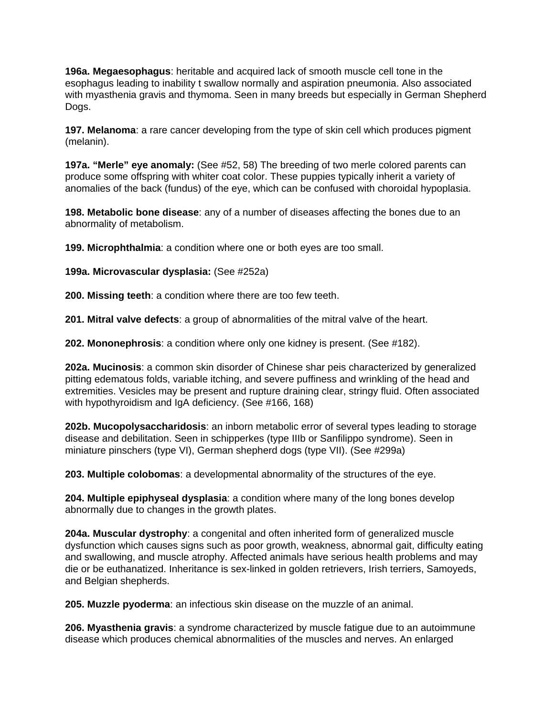**196a. Megaesophagus**: heritable and acquired lack of smooth muscle cell tone in the esophagus leading to inability t swallow normally and aspiration pneumonia. Also associated with myasthenia gravis and thymoma. Seen in many breeds but especially in German Shepherd Dogs.

**197. Melanoma**: a rare cancer developing from the type of skin cell which produces pigment (melanin).

**197a. "Merle" eye anomaly:** (See #52, 58) The breeding of two merle colored parents can produce some offspring with whiter coat color. These puppies typically inherit a variety of anomalies of the back (fundus) of the eye, which can be confused with choroidal hypoplasia.

**198. Metabolic bone disease**: any of a number of diseases affecting the bones due to an abnormality of metabolism.

**199. Microphthalmia**: a condition where one or both eyes are too small.

**199a. Microvascular dysplasia:** (See #252a)

**200. Missing teeth**: a condition where there are too few teeth.

**201. Mitral valve defects**: a group of abnormalities of the mitral valve of the heart.

**202. Mononephrosis**: a condition where only one kidney is present. (See #182).

**202a. Mucinosis**: a common skin disorder of Chinese shar peis characterized by generalized pitting edematous folds, variable itching, and severe puffiness and wrinkling of the head and extremities. Vesicles may be present and rupture draining clear, stringy fluid. Often associated with hypothyroidism and IgA deficiency. (See #166, 168)

**202b. Mucopolysaccharidosis**: an inborn metabolic error of several types leading to storage disease and debilitation. Seen in schipperkes (type IIIb or Sanfilippo syndrome). Seen in miniature pinschers (type VI), German shepherd dogs (type VII). (See #299a)

**203. Multiple colobomas**: a developmental abnormality of the structures of the eye.

**204. Multiple epiphyseal dysplasia**: a condition where many of the long bones develop abnormally due to changes in the growth plates.

**204a. Muscular dystrophy**: a congenital and often inherited form of generalized muscle dysfunction which causes signs such as poor growth, weakness, abnormal gait, difficulty eating and swallowing, and muscle atrophy. Affected animals have serious health problems and may die or be euthanatized. Inheritance is sex-linked in golden retrievers, Irish terriers, Samoyeds, and Belgian shepherds.

**205. Muzzle pyoderma**: an infectious skin disease on the muzzle of an animal.

**206. Myasthenia gravis**: a syndrome characterized by muscle fatigue due to an autoimmune disease which produces chemical abnormalities of the muscles and nerves. An enlarged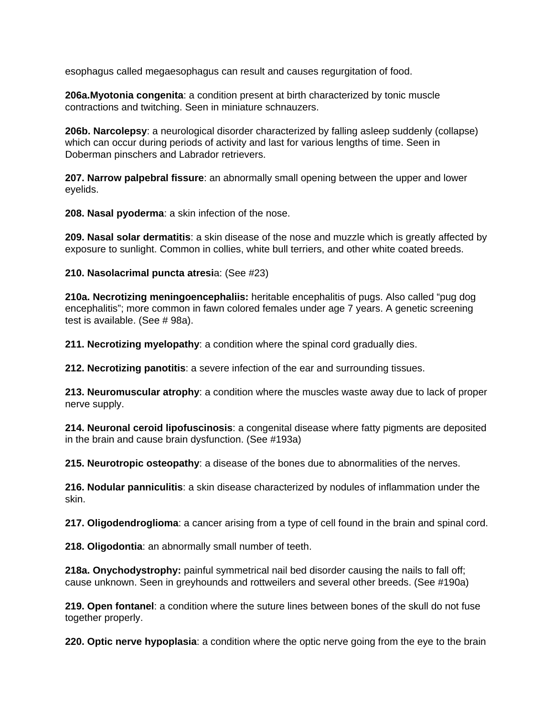esophagus called megaesophagus can result and causes regurgitation of food.

**206a.Myotonia congenita**: a condition present at birth characterized by tonic muscle contractions and twitching. Seen in miniature schnauzers.

**206b. Narcolepsy**: a neurological disorder characterized by falling asleep suddenly (collapse) which can occur during periods of activity and last for various lengths of time. Seen in Doberman pinschers and Labrador retrievers.

**207. Narrow palpebral fissure**: an abnormally small opening between the upper and lower eyelids.

**208. Nasal pyoderma**: a skin infection of the nose.

**209. Nasal solar dermatitis**: a skin disease of the nose and muzzle which is greatly affected by exposure to sunlight. Common in collies, white bull terriers, and other white coated breeds.

**210. Nasolacrimal puncta atresi**a: (See #23)

**210a. Necrotizing meningoencephaliis:** heritable encephalitis of pugs. Also called "pug dog encephalitis"; more common in fawn colored females under age 7 years. A genetic screening test is available. (See # 98a).

**211. Necrotizing myelopathy**: a condition where the spinal cord gradually dies.

**212. Necrotizing panotitis**: a severe infection of the ear and surrounding tissues.

**213. Neuromuscular atrophy**: a condition where the muscles waste away due to lack of proper nerve supply.

**214. Neuronal ceroid lipofuscinosis**: a congenital disease where fatty pigments are deposited in the brain and cause brain dysfunction. (See #193a)

**215. Neurotropic osteopathy**: a disease of the bones due to abnormalities of the nerves.

**216. Nodular panniculitis**: a skin disease characterized by nodules of inflammation under the skin.

**217. Oligodendroglioma**: a cancer arising from a type of cell found in the brain and spinal cord.

**218. Oligodontia**: an abnormally small number of teeth.

**218a. Onychodystrophy:** painful symmetrical nail bed disorder causing the nails to fall off; cause unknown. Seen in greyhounds and rottweilers and several other breeds. (See #190a)

**219. Open fontanel**: a condition where the suture lines between bones of the skull do not fuse together properly.

**220. Optic nerve hypoplasia**: a condition where the optic nerve going from the eye to the brain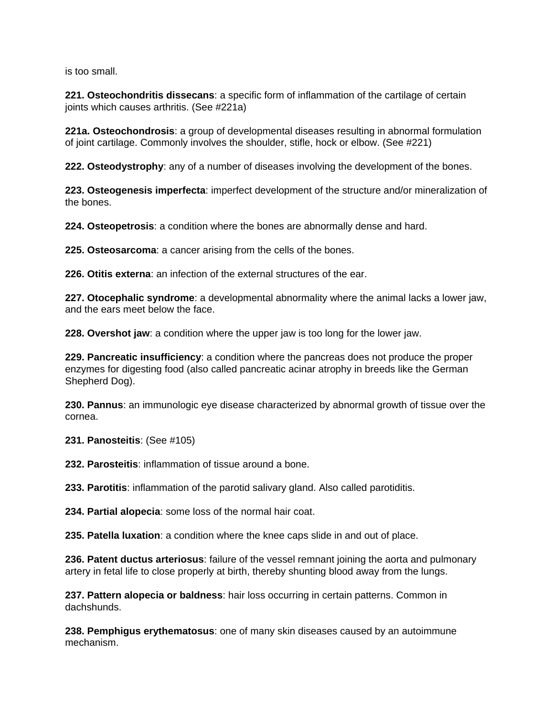is too small.

**221. Osteochondritis dissecans**: a specific form of inflammation of the cartilage of certain joints which causes arthritis. (See #221a)

**221a. Osteochondrosis**: a group of developmental diseases resulting in abnormal formulation of joint cartilage. Commonly involves the shoulder, stifle, hock or elbow. (See #221)

**222. Osteodystrophy**: any of a number of diseases involving the development of the bones.

**223. Osteogenesis imperfecta**: imperfect development of the structure and/or mineralization of the bones.

**224. Osteopetrosis**: a condition where the bones are abnormally dense and hard.

**225. Osteosarcoma**: a cancer arising from the cells of the bones.

**226. Otitis externa**: an infection of the external structures of the ear.

**227. Otocephalic syndrome**: a developmental abnormality where the animal lacks a lower jaw, and the ears meet below the face.

**228. Overshot jaw**: a condition where the upper jaw is too long for the lower jaw.

**229. Pancreatic insufficiency**: a condition where the pancreas does not produce the proper enzymes for digesting food (also called pancreatic acinar atrophy in breeds like the German Shepherd Dog).

**230. Pannus**: an immunologic eye disease characterized by abnormal growth of tissue over the cornea.

**231. Panosteitis**: (See #105)

**232. Parosteitis**: inflammation of tissue around a bone.

**233. Parotitis**: inflammation of the parotid salivary gland. Also called parotiditis.

**234. Partial alopecia**: some loss of the normal hair coat.

**235. Patella luxation**: a condition where the knee caps slide in and out of place.

**236. Patent ductus arteriosus**: failure of the vessel remnant joining the aorta and pulmonary artery in fetal life to close properly at birth, thereby shunting blood away from the lungs.

**237. Pattern alopecia or baldness**: hair loss occurring in certain patterns. Common in dachshunds.

**238. Pemphigus erythematosus**: one of many skin diseases caused by an autoimmune mechanism.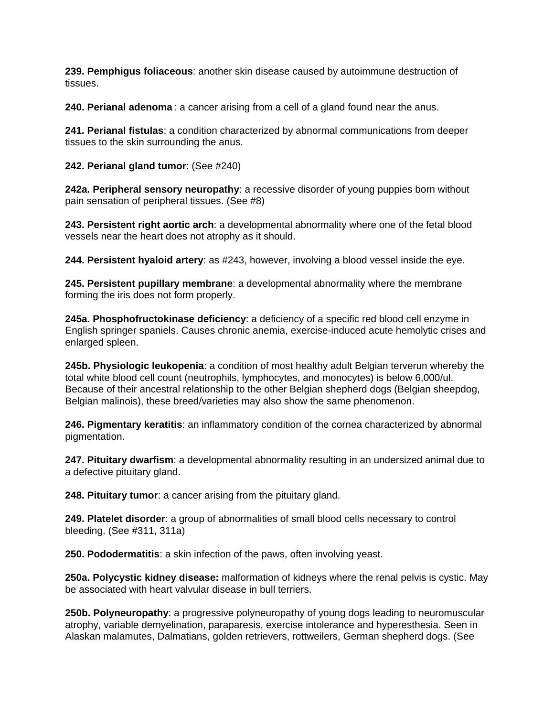**239. Pemphigus foliaceous**: another skin disease caused by autoimmune destruction of tissues.

**240. Perianal adenoma** : a cancer arising from a cell of a gland found near the anus.

**241. Perianal fistulas**: a condition characterized by abnormal communications from deeper tissues to the skin surrounding the anus.

**242. Perianal gland tumor**: (See #240)

**242a. Peripheral sensory neuropathy**: a recessive disorder of young puppies born without pain sensation of peripheral tissues. (See #8)

**243. Persistent right aortic arch**: a developmental abnormality where one of the fetal blood vessels near the heart does not atrophy as it should.

**244. Persistent hyaloid artery**: as #243, however, involving a blood vessel inside the eye.

**245. Persistent pupillary membrane**: a developmental abnormality where the membrane forming the iris does not form properly.

**245a. Phosphofructokinase deficiency**: a deficiency of a specific red blood cell enzyme in English springer spaniels. Causes chronic anemia, exercise-induced acute hemolytic crises and enlarged spleen.

**245b. Physiologic leukopenia**: a condition of most healthy adult Belgian terverun whereby the total white blood cell count (neutrophils, lymphocytes, and monocytes) is below 6,000/ul. Because of their ancestral relationship to the other Belgian shepherd dogs (Belgian sheepdog, Belgian malinois), these breed/varieties may also show the same phenomenon.

**246. Pigmentary keratitis**: an inflammatory condition of the cornea characterized by abnormal pigmentation.

**247. Pituitary dwarfism**: a developmental abnormality resulting in an undersized animal due to a defective pituitary gland.

**248. Pituitary tumor**: a cancer arising from the pituitary gland.

**249. Platelet disorder**: a group of abnormalities of small blood cells necessary to control bleeding. (See #311, 311a)

**250. Pododermatitis**: a skin infection of the paws, often involving yeast.

**250a. Polycystic kidney disease:** malformation of kidneys where the renal pelvis is cystic. May be associated with heart valvular disease in bull terriers.

**250b. Polyneuropathy**: a progressive polyneuropathy of young dogs leading to neuromuscular atrophy, variable demyelination, paraparesis, exercise intolerance and hyperesthesia. Seen in Alaskan malamutes, Dalmatians, golden retrievers, rottweilers, German shepherd dogs. (See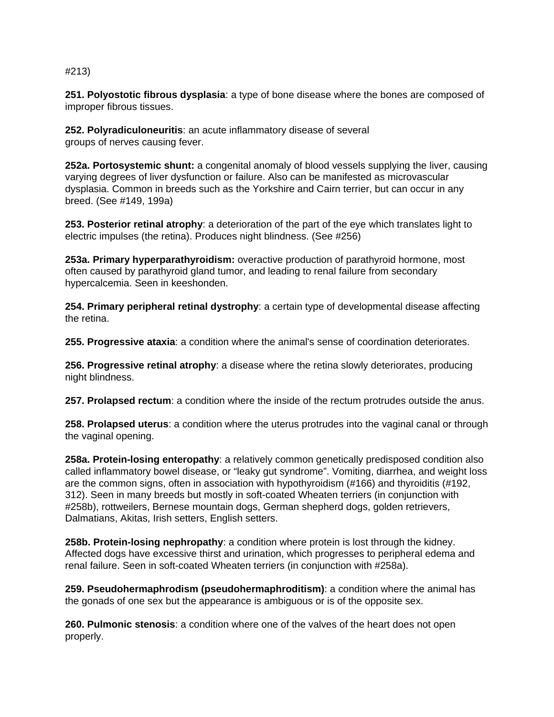#### #213)

**251. Polyostotic fibrous dysplasia**: a type of bone disease where the bones are composed of improper fibrous tissues.

**252. Polyradiculoneuritis**: an acute inflammatory disease of several groups of nerves causing fever.

**252a. Portosystemic shunt:** a congenital anomaly of blood vessels supplying the liver, causing varying degrees of liver dysfunction or failure. Also can be manifested as microvascular dysplasia. Common in breeds such as the Yorkshire and Cairn terrier, but can occur in any breed. (See #149, 199a)

**253. Posterior retinal atrophy**: a deterioration of the part of the eye which translates light to electric impulses (the retina). Produces night blindness. (See #256)

**253a. Primary hyperparathyroidism:** overactive production of parathyroid hormone, most often caused by parathyroid gland tumor, and leading to renal failure from secondary hypercalcemia. Seen in keeshonden.

**254. Primary peripheral retinal dystrophy**: a certain type of developmental disease affecting the retina.

**255. Progressive ataxia**: a condition where the animal's sense of coordination deteriorates.

**256. Progressive retinal atrophy**: a disease where the retina slowly deteriorates, producing night blindness.

**257. Prolapsed rectum**: a condition where the inside of the rectum protrudes outside the anus.

**258. Prolapsed uterus**: a condition where the uterus protrudes into the vaginal canal or through the vaginal opening.

**258a. Protein-losing enteropathy**: a relatively common genetically predisposed condition also called inflammatory bowel disease, or "leaky gut syndrome". Vomiting, diarrhea, and weight loss are the common signs, often in association with hypothyroidism (#166) and thyroiditis (#192, 312). Seen in many breeds but mostly in soft-coated Wheaten terriers (in conjunction with #258b), rottweilers, Bernese mountain dogs, German shepherd dogs, golden retrievers, Dalmatians, Akitas, Irish setters, English setters.

**258b. Protein-losing nephropathy**: a condition where protein is lost through the kidney. Affected dogs have excessive thirst and urination, which progresses to peripheral edema and renal failure. Seen in soft-coated Wheaten terriers (in conjunction with #258a).

**259. Pseudohermaphrodism (pseudohermaphroditism)**: a condition where the animal has the gonads of one sex but the appearance is ambiguous or is of the opposite sex.

**260. Pulmonic stenosis**: a condition where one of the valves of the heart does not open properly.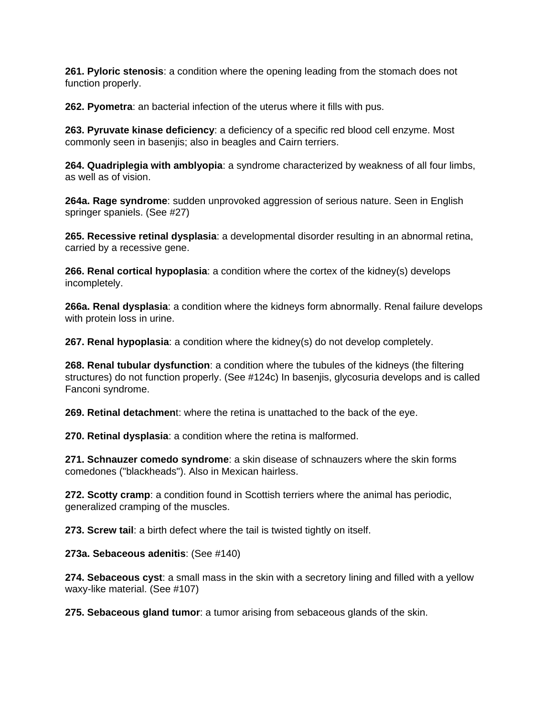**261. Pyloric stenosis**: a condition where the opening leading from the stomach does not function properly.

**262. Pyometra**: an bacterial infection of the uterus where it fills with pus.

**263. Pyruvate kinase deficiency**: a deficiency of a specific red blood cell enzyme. Most commonly seen in basenjis; also in beagles and Cairn terriers.

**264. Quadriplegia with amblyopia**: a syndrome characterized by weakness of all four limbs, as well as of vision.

**264a. Rage syndrome**: sudden unprovoked aggression of serious nature. Seen in English springer spaniels. (See #27)

**265. Recessive retinal dysplasia**: a developmental disorder resulting in an abnormal retina, carried by a recessive gene.

**266. Renal cortical hypoplasia**: a condition where the cortex of the kidney(s) develops incompletely.

**266a. Renal dysplasia**: a condition where the kidneys form abnormally. Renal failure develops with protein loss in urine.

**267. Renal hypoplasia**: a condition where the kidney(s) do not develop completely.

**268. Renal tubular dysfunction**: a condition where the tubules of the kidneys (the filtering structures) do not function properly. (See #124c) In basenjis, glycosuria develops and is called Fanconi syndrome.

**269. Retinal detachmen**t: where the retina is unattached to the back of the eye.

**270. Retinal dysplasia**: a condition where the retina is malformed.

**271. Schnauzer comedo syndrome**: a skin disease of schnauzers where the skin forms comedones ("blackheads"). Also in Mexican hairless.

**272. Scotty cramp**: a condition found in Scottish terriers where the animal has periodic, generalized cramping of the muscles.

**273. Screw tail**: a birth defect where the tail is twisted tightly on itself.

**273a. Sebaceous adenitis**: (See #140)

**274. Sebaceous cyst**: a small mass in the skin with a secretory lining and filled with a yellow waxy-like material. (See #107)

**275. Sebaceous gland tumor**: a tumor arising from sebaceous glands of the skin.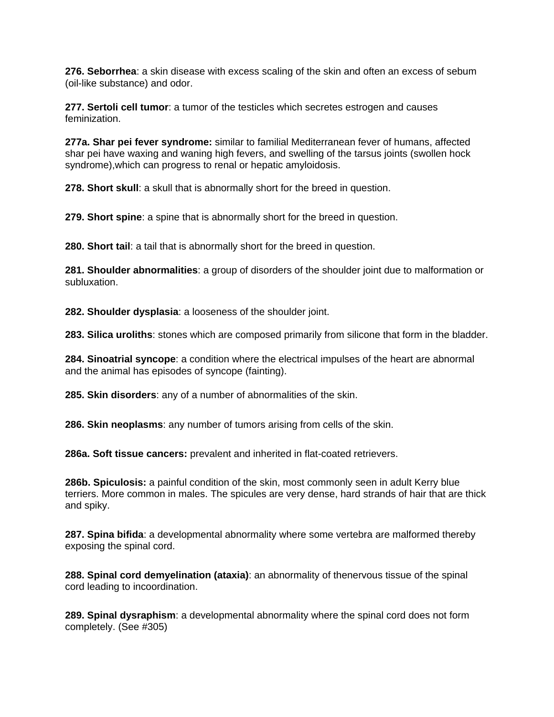**276. Seborrhea**: a skin disease with excess scaling of the skin and often an excess of sebum (oil-like substance) and odor.

**277. Sertoli cell tumor**: a tumor of the testicles which secretes estrogen and causes feminization.

**277a. Shar pei fever syndrome:** similar to familial Mediterranean fever of humans, affected shar pei have waxing and waning high fevers, and swelling of the tarsus joints (swollen hock syndrome),which can progress to renal or hepatic amyloidosis.

**278. Short skull**: a skull that is abnormally short for the breed in question.

**279. Short spine**: a spine that is abnormally short for the breed in question.

**280. Short tail**: a tail that is abnormally short for the breed in question.

**281. Shoulder abnormalities**: a group of disorders of the shoulder joint due to malformation or subluxation.

**282. Shoulder dysplasia**: a looseness of the shoulder joint.

**283. Silica uroliths**: stones which are composed primarily from silicone that form in the bladder.

**284. Sinoatrial syncope**: a condition where the electrical impulses of the heart are abnormal and the animal has episodes of syncope (fainting).

**285. Skin disorders**: any of a number of abnormalities of the skin.

**286. Skin neoplasms**: any number of tumors arising from cells of the skin.

**286a. Soft tissue cancers:** prevalent and inherited in flat-coated retrievers.

**286b. Spiculosis:** a painful condition of the skin, most commonly seen in adult Kerry blue terriers. More common in males. The spicules are very dense, hard strands of hair that are thick and spiky.

**287. Spina bifida**: a developmental abnormality where some vertebra are malformed thereby exposing the spinal cord.

**288. Spinal cord demyelination (ataxia)**: an abnormality of thenervous tissue of the spinal cord leading to incoordination.

**289. Spinal dysraphism**: a developmental abnormality where the spinal cord does not form completely. (See #305)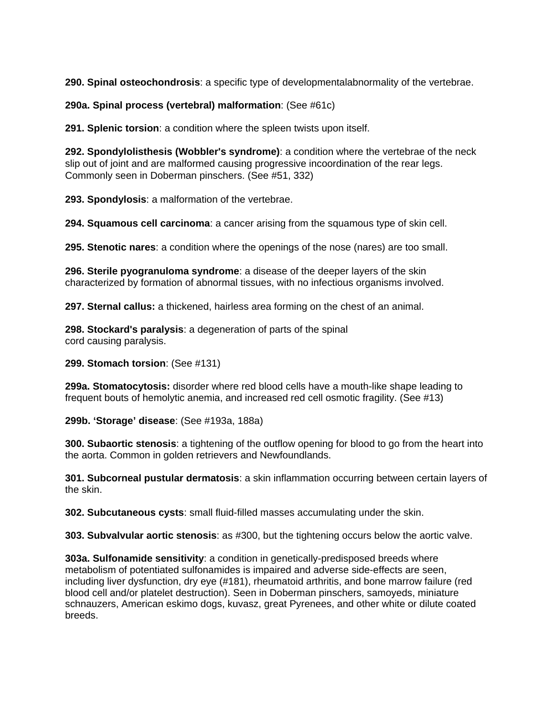**290. Spinal osteochondrosis**: a specific type of developmentalabnormality of the vertebrae.

**290a. Spinal process (vertebral) malformation**: (See #61c)

**291. Splenic torsion**: a condition where the spleen twists upon itself.

**292. Spondylolisthesis (Wobbler's syndrome)**: a condition where the vertebrae of the neck slip out of joint and are malformed causing progressive incoordination of the rear legs. Commonly seen in Doberman pinschers. (See #51, 332)

**293. Spondylosis**: a malformation of the vertebrae.

**294. Squamous cell carcinoma**: a cancer arising from the squamous type of skin cell.

**295. Stenotic nares**: a condition where the openings of the nose (nares) are too small.

**296. Sterile pyogranuloma syndrome**: a disease of the deeper layers of the skin characterized by formation of abnormal tissues, with no infectious organisms involved.

**297. Sternal callus:** a thickened, hairless area forming on the chest of an animal.

**298. Stockard's paralysis**: a degeneration of parts of the spinal cord causing paralysis.

**299. Stomach torsion**: (See #131)

**299a. Stomatocytosis:** disorder where red blood cells have a mouth-like shape leading to frequent bouts of hemolytic anemia, and increased red cell osmotic fragility. (See #13)

**299b. 'Storage' disease**: (See #193a, 188a)

**300. Subaortic stenosis**: a tightening of the outflow opening for blood to go from the heart into the aorta. Common in golden retrievers and Newfoundlands.

**301. Subcorneal pustular dermatosis**: a skin inflammation occurring between certain layers of the skin.

**302. Subcutaneous cysts**: small fluid-filled masses accumulating under the skin.

**303. Subvalvular aortic stenosis**: as #300, but the tightening occurs below the aortic valve.

**303a. Sulfonamide sensitivity**: a condition in genetically-predisposed breeds where metabolism of potentiated sulfonamides is impaired and adverse side-effects are seen, including liver dysfunction, dry eye (#181), rheumatoid arthritis, and bone marrow failure (red blood cell and/or platelet destruction). Seen in Doberman pinschers, samoyeds, miniature schnauzers, American eskimo dogs, kuvasz, great Pyrenees, and other white or dilute coated breeds.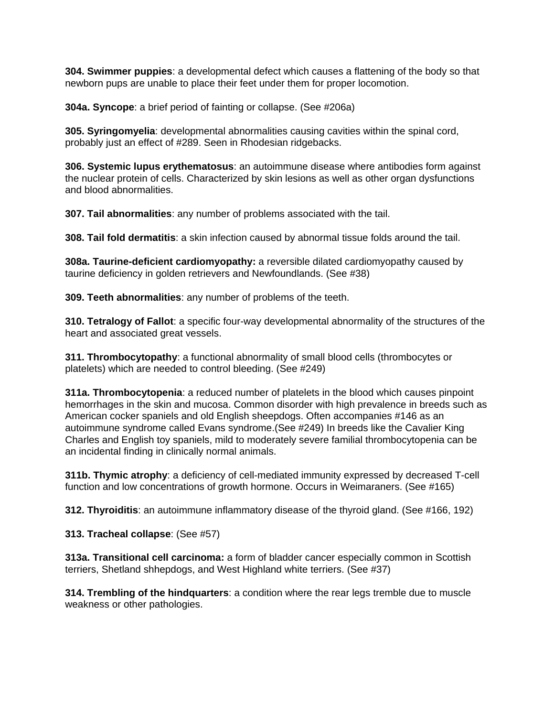**304. Swimmer puppies**: a developmental defect which causes a flattening of the body so that newborn pups are unable to place their feet under them for proper locomotion.

**304a. Syncope**: a brief period of fainting or collapse. (See #206a)

**305. Syringomyelia**: developmental abnormalities causing cavities within the spinal cord, probably just an effect of #289. Seen in Rhodesian ridgebacks.

**306. Systemic lupus erythematosus**: an autoimmune disease where antibodies form against the nuclear protein of cells. Characterized by skin lesions as well as other organ dysfunctions and blood abnormalities.

**307. Tail abnormalities**: any number of problems associated with the tail.

**308. Tail fold dermatitis**: a skin infection caused by abnormal tissue folds around the tail.

**308a. Taurine-deficient cardiomyopathy:** a reversible dilated cardiomyopathy caused by taurine deficiency in golden retrievers and Newfoundlands. (See #38)

**309. Teeth abnormalities**: any number of problems of the teeth.

**310. Tetralogy of Fallot**: a specific four-way developmental abnormality of the structures of the heart and associated great vessels.

**311. Thrombocytopathy**: a functional abnormality of small blood cells (thrombocytes or platelets) which are needed to control bleeding. (See #249)

**311a. Thrombocytopenia**: a reduced number of platelets in the blood which causes pinpoint hemorrhages in the skin and mucosa. Common disorder with high prevalence in breeds such as American cocker spaniels and old English sheepdogs. Often accompanies #146 as an autoimmune syndrome called Evans syndrome.(See #249) In breeds like the Cavalier King Charles and English toy spaniels, mild to moderately severe familial thrombocytopenia can be an incidental finding in clinically normal animals.

**311b. Thymic atrophy**: a deficiency of cell-mediated immunity expressed by decreased T-cell function and low concentrations of growth hormone. Occurs in Weimaraners. (See #165)

**312. Thyroiditis**: an autoimmune inflammatory disease of the thyroid gland. (See #166, 192)

**313. Tracheal collapse**: (See #57)

**313a. Transitional cell carcinoma:** a form of bladder cancer especially common in Scottish terriers, Shetland shhepdogs, and West Highland white terriers. (See #37)

**314. Trembling of the hindquarters**: a condition where the rear legs tremble due to muscle weakness or other pathologies.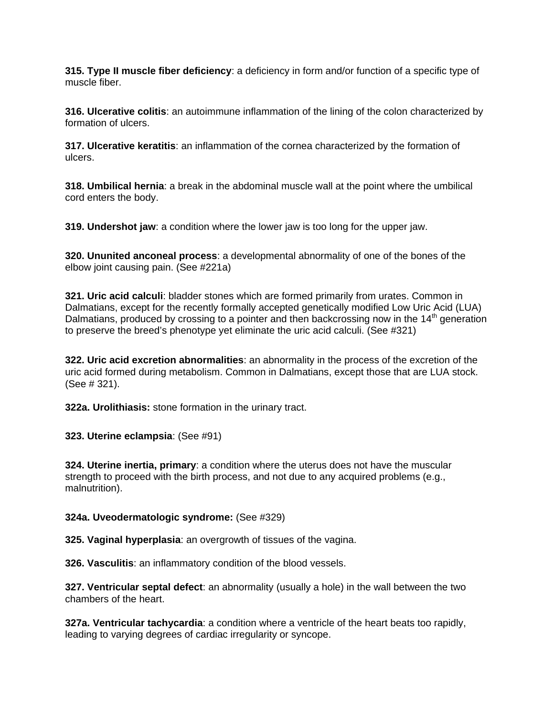**315. Type II muscle fiber deficiency**: a deficiency in form and/or function of a specific type of muscle fiber.

**316. Ulcerative colitis**: an autoimmune inflammation of the lining of the colon characterized by formation of ulcers.

**317. Ulcerative keratitis**: an inflammation of the cornea characterized by the formation of ulcers.

**318. Umbilical hernia**: a break in the abdominal muscle wall at the point where the umbilical cord enters the body.

**319. Undershot jaw**: a condition where the lower jaw is too long for the upper jaw.

**320. Ununited anconeal process**: a developmental abnormality of one of the bones of the elbow joint causing pain. (See #221a)

**321. Uric acid calculi**: bladder stones which are formed primarily from urates. Common in Dalmatians, except for the recently formally accepted genetically modified Low Uric Acid (LUA) Dalmatians, produced by crossing to a pointer and then backcrossing now in the 14<sup>th</sup> generation to preserve the breed's phenotype yet eliminate the uric acid calculi. (See #321)

**322. Uric acid excretion abnormalities**: an abnormality in the process of the excretion of the uric acid formed during metabolism. Common in Dalmatians, except those that are LUA stock. (See # 321).

**322a. Urolithiasis:** stone formation in the urinary tract.

**323. Uterine eclampsia**: (See #91)

**324. Uterine inertia, primary**: a condition where the uterus does not have the muscular strength to proceed with the birth process, and not due to any acquired problems (e.g., malnutrition).

#### **324a. Uveodermatologic syndrome:** (See #329)

**325. Vaginal hyperplasia**: an overgrowth of tissues of the vagina.

**326. Vasculitis**: an inflammatory condition of the blood vessels.

**327. Ventricular septal defect**: an abnormality (usually a hole) in the wall between the two chambers of the heart.

**327a. Ventricular tachycardia**: a condition where a ventricle of the heart beats too rapidly, leading to varying degrees of cardiac irregularity or syncope.